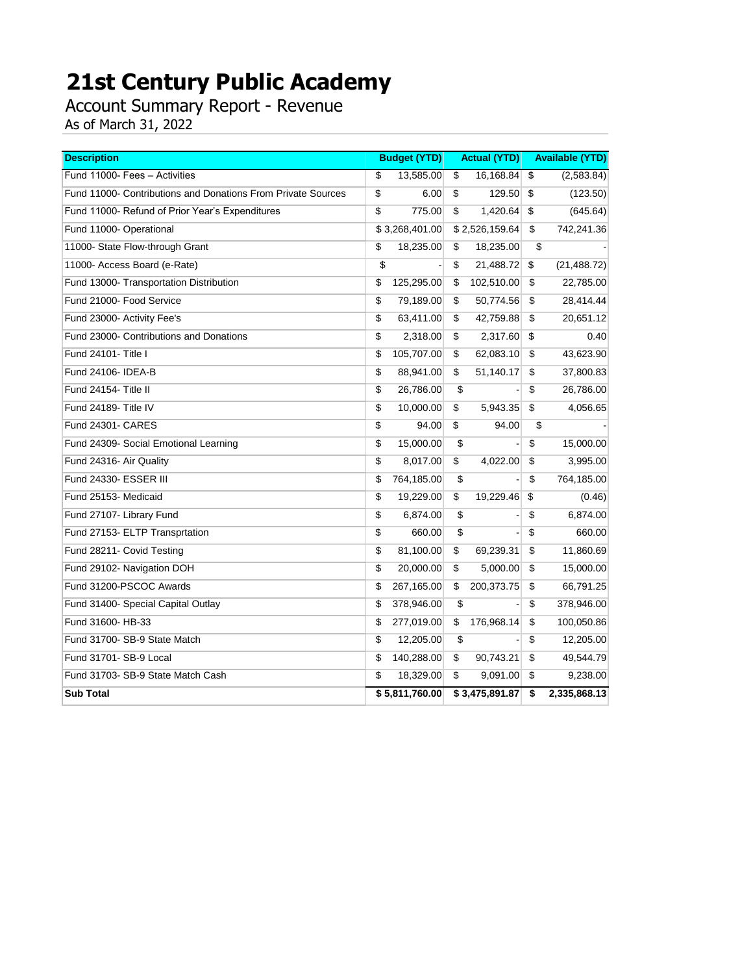Account Summary Report - Revenue

| <b>Description</b>                                           | <b>Budget (YTD)</b> |                 | <b>Actual (YTD)</b> |                         | <b>Available (YTD)</b> |
|--------------------------------------------------------------|---------------------|-----------------|---------------------|-------------------------|------------------------|
| Fund 11000- Fees - Activities                                | \$<br>13,585.00     | $\overline{\$}$ | 16,168.84           | $\overline{\mathbf{s}}$ | (2,583.84)             |
| Fund 11000- Contributions and Donations From Private Sources | \$<br>6.00          | \$              | 129.50              | \$                      | (123.50)               |
| Fund 11000- Refund of Prior Year's Expenditures              | \$<br>775.00        | \$              | 1,420.64            | \$                      | (645.64)               |
| Fund 11000- Operational                                      | \$3,268,401.00      |                 | \$2,526,159.64      | \$                      | 742,241.36             |
| 11000- State Flow-through Grant                              | \$<br>18,235.00     | \$              | 18,235.00           | \$                      |                        |
| 11000- Access Board (e-Rate)                                 | \$                  | \$              | 21,488.72           | \$                      | (21, 488.72)           |
| Fund 13000- Transportation Distribution                      | \$<br>125,295.00    | \$              | 102,510.00          | \$                      | 22,785.00              |
| Fund 21000- Food Service                                     | \$<br>79,189.00     | \$              | 50,774.56           | \$                      | 28,414.44              |
| Fund 23000- Activity Fee's                                   | \$<br>63,411.00     | \$              | 42,759.88           | \$                      | 20,651.12              |
| Fund 23000- Contributions and Donations                      | \$<br>2,318.00      | \$              | 2,317.60            | \$                      | 0.40                   |
| Fund 24101- Title I                                          | \$<br>105,707.00    | \$              | 62,083.10           | \$                      | 43,623.90              |
| Fund 24106- IDEA-B                                           | \$<br>88,941.00     | \$              | 51,140.17           | \$                      | 37,800.83              |
| Fund 24154- Title II                                         | \$<br>26,786.00     | \$              |                     | \$                      | 26,786.00              |
| Fund 24189- Title IV                                         | \$<br>10,000.00     | \$              | 5,943.35            | \$                      | 4,056.65               |
| <b>Fund 24301- CARES</b>                                     | \$<br>94.00         | $\sqrt{2}$      | 94.00               | \$                      |                        |
| Fund 24309- Social Emotional Learning                        | \$<br>15,000.00     | \$              |                     | $\overline{\$}$         | 15,000.00              |
| Fund 24316- Air Quality                                      | \$<br>8,017.00      | \$              | 4,022.00            | \$                      | 3,995.00               |
| Fund 24330- ESSER III                                        | \$<br>764,185.00    | \$              |                     | \$                      | 764,185.00             |
| Fund 25153- Medicaid                                         | \$<br>19,229.00     | \$              | 19,229.46           | \$                      | (0.46)                 |
| Fund 27107- Library Fund                                     | \$<br>6,874.00      | \$              |                     | \$                      | 6,874.00               |
| Fund 27153- ELTP Transprtation                               | \$<br>660.00        | \$              |                     | $\sqrt{2}$              | 660.00                 |
| Fund 28211- Covid Testing                                    | \$<br>81,100.00     | \$              | 69,239.31           | \$                      | 11,860.69              |
| Fund 29102- Navigation DOH                                   | \$<br>20,000.00     | \$              | 5,000.00            | \$                      | 15,000.00              |
| Fund 31200-PSCOC Awards                                      | \$<br>267,165.00    | \$              | 200,373.75          | \$                      | 66,791.25              |
| Fund 31400- Special Capital Outlay                           | \$<br>378,946.00    | \$              |                     | \$                      | 378,946.00             |
| Fund 31600- HB-33                                            | \$<br>277,019.00    | \$              | 176,968.14          | \$                      | 100,050.86             |
| Fund 31700- SB-9 State Match                                 | \$<br>12,205.00     | \$              |                     | \$                      | 12,205.00              |
| Fund 31701- SB-9 Local                                       | \$<br>140,288.00    | \$              | 90,743.21           | \$                      | 49,544.79              |
| Fund 31703- SB-9 State Match Cash                            | \$<br>18,329.00     | \$              | 9,091.00            | \$                      | 9,238.00               |
| <b>Sub Total</b>                                             | \$5,811,760.00      |                 | \$3,475,891.87      | \$                      | 2,335,868.13           |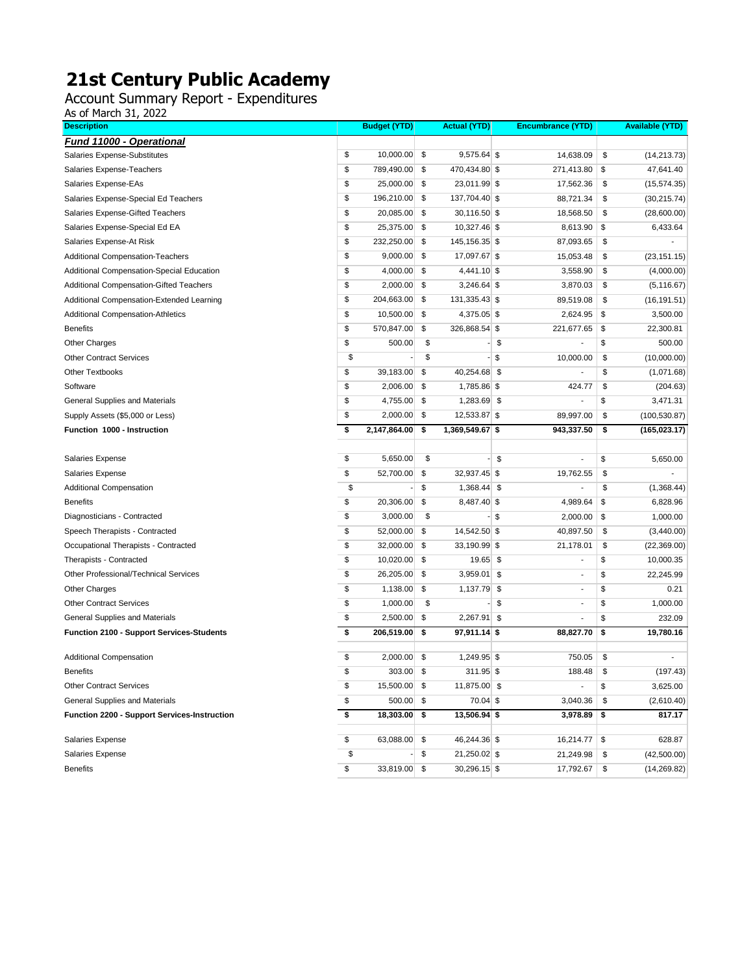Account Summary Report - Expenditures

| <b>Description</b>                             | <b>Budget (YTD)</b> | <b>Actual (YTD)</b>   | <b>Encumbrance (YTD)</b>       | <b>Available (YTD)</b> |
|------------------------------------------------|---------------------|-----------------------|--------------------------------|------------------------|
| <b>Fund 11000 - Operational</b>                |                     |                       |                                |                        |
| Salaries Expense-Substitutes                   | \$<br>10,000.00     | \$<br>$9,575.64$ \$   | 14,638.09                      | \$<br>(14, 213.73)     |
| Salaries Expense-Teachers                      | \$<br>789,490.00    | \$<br>470,434.80 \$   | 271,413.80                     | \$<br>47,641.40        |
| Salaries Expense-EAs                           | \$<br>25,000.00     | \$<br>23,011.99 \$    | 17,562.36                      | \$<br>(15, 574.35)     |
| Salaries Expense-Special Ed Teachers           | \$<br>196,210.00    | \$<br>137,704.40 \$   | 88,721.34                      | \$<br>(30, 215.74)     |
| Salaries Expense-Gifted Teachers               | \$<br>20,085.00     | \$<br>$30,116.50$ \$  | 18,568.50                      | \$<br>(28,600.00)      |
| Salaries Expense-Special Ed EA                 | \$<br>25,375.00     | \$<br>10,327.46 \$    | 8,613.90                       | \$<br>6,433.64         |
| Salaries Expense-At Risk                       | \$<br>232,250.00    | \$<br>145, 156. 35 \$ | 87,093.65                      | \$                     |
| <b>Additional Compensation-Teachers</b>        | \$<br>9,000.00      | \$<br>17,097.67 \$    | 15,053.48                      | \$<br>(23, 151.15)     |
| Additional Compensation-Special Education      | \$<br>4,000.00      | \$<br>4,441.10 \$     | 3,558.90                       | \$<br>(4,000.00)       |
| <b>Additional Compensation-Gifted Teachers</b> | \$<br>2,000.00      | \$<br>$3,246.64$ \$   | 3,870.03                       | \$<br>(5, 116.67)      |
| Additional Compensation-Extended Learning      | \$<br>204,663.00    | \$<br>131,335.43 \$   | 89,519.08                      | \$<br>(16, 191.51)     |
| <b>Additional Compensation-Athletics</b>       | \$<br>10,500.00     | \$<br>4,375.05 \$     | 2,624.95                       | \$<br>3,500.00         |
| <b>Benefits</b>                                | \$<br>570,847.00    | \$<br>326,868.54 \$   | 221,677.65                     | \$<br>22,300.81        |
| <b>Other Charges</b>                           | \$<br>500.00        | \$                    | \$                             | \$<br>500.00           |
| <b>Other Contract Services</b>                 | \$                  | \$                    | \$<br>10,000.00                | \$<br>(10,000.00)      |
| <b>Other Textbooks</b>                         | \$<br>39,183.00     | \$<br>40,254.68 \$    |                                | \$<br>(1,071.68)       |
| Software                                       | \$<br>2,006.00      | \$<br>1,785.86 \$     | 424.77                         | \$<br>(204.63)         |
| General Supplies and Materials                 | \$<br>4,755.00      | \$<br>1,283.69 \$     | ٠                              | \$<br>3,471.31         |
| Supply Assets (\$5,000 or Less)                | \$<br>2,000.00      | \$<br>12,533.87 \$    | 89,997.00                      | \$<br>(100, 530.87)    |
| Function 1000 - Instruction                    | \$<br>2,147,864.00  | \$<br>1,369,549.67 \$ | 943,337.50                     | \$<br>(165, 023.17)    |
|                                                |                     |                       |                                |                        |
| Salaries Expense                               | \$<br>5,650.00      | \$                    | \$<br>$\overline{\phantom{a}}$ | \$<br>5,650.00         |
| Salaries Expense                               | \$<br>52,700.00     | \$<br>32,937.45 \$    | 19,762.55                      | \$                     |
| Additional Compensation                        | \$                  | \$<br>$1,368.44$ \$   | -                              | \$<br>(1,368.44)       |
| <b>Benefits</b>                                | \$<br>20,306.00     | \$<br>8,487.40 \$     | 4,989.64                       | \$<br>6,828.96         |
| Diagnosticians - Contracted                    | \$<br>3,000.00      | \$                    | \$<br>2,000.00                 | \$<br>1,000.00         |
| Speech Therapists - Contracted                 | \$<br>52,000.00     | \$<br>14,542.50 \$    | 40,897.50                      | \$<br>(3,440.00)       |
| Occupational Therapists - Contracted           | \$<br>32,000.00     | \$<br>33,190.99 \$    | 21,178.01                      | \$<br>(22, 369.00)     |
| Therapists - Contracted                        | \$<br>10,020.00     | \$<br>19.65 \$        | $\overline{\phantom{m}}$       | \$<br>10,000.35        |
| Other Professional/Technical Services          | \$<br>26,205.00     | \$<br>$3,959.01$ \$   | $\overline{\phantom{a}}$       | \$<br>22,245.99        |
| <b>Other Charges</b>                           | \$<br>1,138.00      | \$<br>1,137.79        | \$<br>$\overline{\phantom{a}}$ | \$<br>0.21             |
| <b>Other Contract Services</b>                 | \$<br>1,000.00      | \$                    | \$<br>$\overline{\phantom{m}}$ | \$<br>1,000.00         |
| General Supplies and Materials                 | \$<br>2,500.00      | \$<br>$2,267.91$ \$   | $\overline{\phantom{a}}$       | \$<br>232.09           |
| Function 2100 - Support Services-Students      | \$<br>206,519.00    | \$<br>97,911.14 \$    | 88,827.70                      | \$<br>19,780.16        |
| <b>Additional Compensation</b>                 | \$<br>2,000.00      | \$<br>1,249.95 \$     | 750.05                         | \$                     |
| <b>Benefits</b>                                | \$<br>303.00        | \$<br>311.95 \$       | 188.48                         | \$<br>(197.43)         |
| <b>Other Contract Services</b>                 | \$<br>15,500.00 \$  | 11,875.00 \$          |                                | \$<br>3,625.00         |
| General Supplies and Materials                 | \$<br>$500.00$ \$   | 70.04 \$              | 3,040.36                       | \$<br>(2,610.40)       |
| Function 2200 - Support Services-Instruction   | \$<br>18,303.00     | \$<br>13,506.94 \$    | 3,978.89                       | \$<br>817.17           |
| Salaries Expense                               | \$<br>63,088.00     | \$<br>46,244.36 \$    | $16,214.77$ \\$                | 628.87                 |
| Salaries Expense                               | \$                  | \$<br>21,250.02 \$    | 21,249.98                      | \$<br>(42,500.00)      |
| <b>Benefits</b>                                | \$<br>33,819.00     | \$<br>30,296.15 \$    | 17,792.67                      | \$<br>(14, 269.82)     |
|                                                |                     |                       |                                |                        |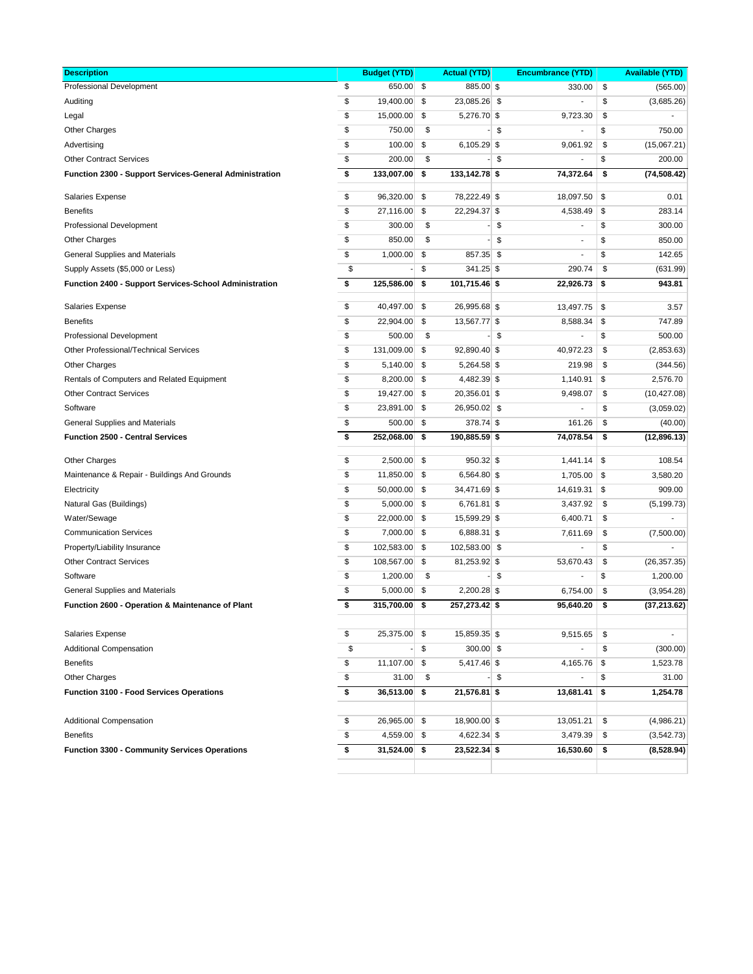| <b>Description</b>                                      | <b>Budget (YTD)</b> |     | <b>Actual (YTD)</b> | <b>Encumbrance (YTD)</b>       |    | <b>Available (YTD)</b> |
|---------------------------------------------------------|---------------------|-----|---------------------|--------------------------------|----|------------------------|
| Professional Development                                | \$<br>650.00        | \$  | 885.00 \$           | 330.00                         | \$ | (565.00)               |
| Auditing                                                | \$<br>19,400.00     | \$  | 23,085.26 \$        |                                | \$ | (3,685.26)             |
| Legal                                                   | \$<br>15,000.00     | \$  | 5,276.70 \$         | 9,723.30                       | \$ |                        |
| <b>Other Charges</b>                                    | \$<br>750.00        | \$  |                     | \$<br>$\overline{a}$           | \$ | 750.00                 |
| Advertising                                             | \$<br>100.00        | \$  | $6,105.29$ \$       | 9,061.92                       | \$ | (15,067.21)            |
| <b>Other Contract Services</b>                          | \$<br>200.00        | \$  |                     | \$                             | \$ | 200.00                 |
| Function 2300 - Support Services-General Administration | \$<br>133,007.00    | \$  | 133,142.78 \$       | 74,372.64                      | \$ | (74, 508.42)           |
| <b>Salaries Expense</b>                                 | \$<br>96,320.00     | \$  | 78,222.49 \$        | 18,097.50                      | \$ | 0.01                   |
| <b>Benefits</b>                                         | \$<br>27,116.00     | \$  | 22,294.37 \$        | 4,538.49                       | \$ | 283.14                 |
| <b>Professional Development</b>                         | \$<br>300.00        | \$  |                     | \$<br>$\overline{\phantom{a}}$ | \$ | 300.00                 |
| <b>Other Charges</b>                                    | \$<br>850.00        | \$  |                     | \$<br>$\overline{\phantom{a}}$ | \$ | 850.00                 |
| General Supplies and Materials                          | \$<br>1,000.00      | \$  | 857.35 \$           | $\overline{\phantom{a}}$       | \$ | 142.65                 |
| Supply Assets (\$5,000 or Less)                         | \$                  | \$  | 341.25 \$           | 290.74                         | \$ | (631.99)               |
| Function 2400 - Support Services-School Administration  | \$<br>125,586.00    | \$  | 101,715.46 \$       | 22,926.73                      | \$ | 943.81                 |
| <b>Salaries Expense</b>                                 | \$<br>40,497.00     | \$  | 26,995.68 \$        | 13,497.75                      | \$ | 3.57                   |
| <b>Benefits</b>                                         | \$<br>22,904.00     | \$  | 13,567.77 \$        | 8,588.34                       | \$ | 747.89                 |
| Professional Development                                | \$<br>500.00        | \$  |                     | \$                             | \$ | 500.00                 |
| Other Professional/Technical Services                   | \$<br>131,009.00    | \$  | 92,890.40 \$        | 40,972.23                      | \$ | (2,853.63)             |
| <b>Other Charges</b>                                    | \$<br>5,140.00      | \$  | 5,264.58 \$         | 219.98                         | \$ | (344.56)               |
| Rentals of Computers and Related Equipment              | \$<br>8,200.00      | \$  | 4,482.39 \$         | 1,140.91                       | \$ | 2,576.70               |
| <b>Other Contract Services</b>                          | \$<br>19,427.00     | \$  | 20,356.01 \$        | 9,498.07                       | \$ | (10, 427.08)           |
| Software                                                | \$<br>23,891.00     | \$  | 26,950.02 \$        |                                | \$ | (3,059.02)             |
| General Supplies and Materials                          | \$<br>500.00        | \$  | 378.74 \$           | 161.26                         | \$ | (40.00)                |
| <b>Function 2500 - Central Services</b>                 | \$<br>252,068.00    | \$  | 190,885.59 \$       | 74,078.54                      | \$ | (12, 896.13)           |
|                                                         |                     |     |                     |                                |    |                        |
| <b>Other Charges</b>                                    | \$<br>2,500.00      | \$  | 950.32 \$           | 1,441.14                       | \$ | 108.54                 |
| Maintenance & Repair - Buildings And Grounds            | \$<br>11,850.00     | \$  | 6,564.80 \$         | $1,705.00$ \\$                 |    | 3,580.20               |
| Electricity                                             | \$<br>50,000.00     | \$  | 34,471.69 \$        | 14,619.31                      | \$ | 909.00                 |
| Natural Gas (Buildings)                                 | \$<br>5,000.00      | \$  | 6,761.81 \$         | 3,437.92                       | \$ | (5, 199.73)            |
| Water/Sewage                                            | \$<br>22,000.00     | \$  | 15,599.29 \$        | 6,400.71                       | \$ |                        |
| <b>Communication Services</b>                           | \$<br>7,000.00      | \$  | 6,888.31 \$         | 7,611.69                       | \$ | (7,500.00)             |
| Property/Liability Insurance                            | \$<br>102,583.00    | \$  | 102,583.00 \$       | $\overline{a}$                 | \$ |                        |
| <b>Other Contract Services</b>                          | \$<br>108,567.00    | \$  | 81,253.92 \$        | 53,670.43                      | \$ | (26, 357.35)           |
| Software                                                | \$<br>1,200.00      | \$  |                     | \$<br>L,                       | \$ | 1,200.00               |
| General Supplies and Materials                          | \$<br>5,000.00      | \$  | $2,200.28$ \$       | 6,754.00                       | \$ | (3,954.28)             |
| Function 2600 - Operation & Maintenance of Plant        | \$<br>315,700.00    | \$  | 257,273.42 \$       | 95,640.20                      | \$ | (37, 213.62)           |
| <b>Salaries Expense</b>                                 | \$<br>25,375.00     | -\$ | 15,859.35 \$        | 9,515.65                       | \$ |                        |
| <b>Additional Compensation</b>                          | \$                  | \$  | $300.00$ \$         |                                | \$ | (300.00)               |
| <b>Benefits</b>                                         | \$<br>11,107.00     | \$  | $5,417.46$ \$       | $4,165.76$ \$                  |    | 1,523.78               |
| Other Charges                                           | \$<br>31.00         | \$  |                     | \$                             | \$ | 31.00                  |
| <b>Function 3100 - Food Services Operations</b>         | \$<br>36,513.00     | \$  | 21,576.81 \$        | 13,681.41                      | \$ | 1,254.78               |
|                                                         |                     |     |                     |                                |    |                        |
| <b>Additional Compensation</b>                          | \$<br>26,965.00     | \$  | 18,900.00 \$        | 13,051.21                      | \$ | (4,986.21)             |
| <b>Benefits</b>                                         | \$<br>4,559.00      | \$  | 4,622.34 \$         | 3,479.39                       | \$ | (3, 542.73)            |
| <b>Function 3300 - Community Services Operations</b>    | \$<br>31,524.00     | \$  | 23,522.34 \$        | 16,530.60                      | \$ | (8,528.94)             |
|                                                         |                     |     |                     |                                |    |                        |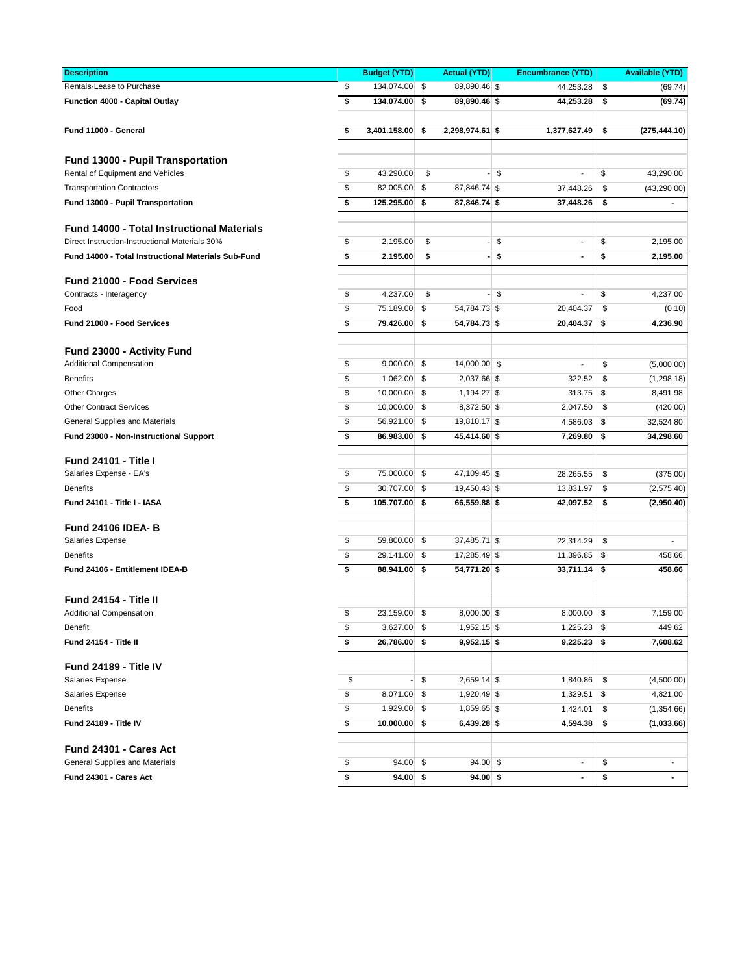| <b>Description</b>                                           | <b>Budget (YTD)</b> | <b>Actual (YTD)</b>   | <b>Encumbrance (YTD)</b>       |     | <b>Available (YTD)</b> |
|--------------------------------------------------------------|---------------------|-----------------------|--------------------------------|-----|------------------------|
| Rentals-Lease to Purchase                                    | \$<br>134,074.00    | \$<br>89,890.46 \$    | 44,253.28                      | \$  | (69.74)                |
| Function 4000 - Capital Outlay                               | \$<br>134,074.00    | \$<br>89,890.46 \$    | 44,253.28                      | \$  | (69.74)                |
|                                                              |                     |                       |                                |     |                        |
| Fund 11000 - General                                         | \$<br>3,401,158.00  | \$<br>2,298,974.61 \$ | 1,377,627.49                   | \$  | (275, 444.10)          |
|                                                              |                     |                       |                                |     |                        |
| <b>Fund 13000 - Pupil Transportation</b>                     |                     |                       |                                |     |                        |
| Rental of Equipment and Vehicles                             | \$<br>43,290.00     | \$                    | \$<br>$\overline{a}$           | \$  | 43,290.00              |
| <b>Transportation Contractors</b>                            | \$<br>82,005.00     | \$<br>87,846.74 \$    | 37,448.26                      | \$  | (43, 290.00)           |
| Fund 13000 - Pupil Transportation                            | \$<br>125,295.00    | \$<br>87,846.74 \$    | 37,448.26                      | \$  |                        |
|                                                              |                     |                       |                                |     |                        |
| <b>Fund 14000 - Total Instructional Materials</b>            |                     |                       |                                |     |                        |
| Direct Instruction-Instructional Materials 30%               | \$<br>2,195.00      | \$                    | \$<br>$\blacksquare$           | \$  | 2,195.00               |
| Fund 14000 - Total Instructional Materials Sub-Fund          | \$<br>2,195.00      | \$                    | \$<br>$\blacksquare$           | \$  | 2,195.00               |
|                                                              |                     |                       |                                |     |                        |
| <b>Fund 21000 - Food Services</b>                            | \$<br>4,237.00      | \$                    | \$<br>$\overline{\phantom{a}}$ | \$  | 4,237.00               |
| Contracts - Interagency                                      | 75,189.00           |                       |                                |     |                        |
| Food                                                         | \$                  | \$<br>54,784.73 \$    | 20,404.37                      | \$  | (0.10)                 |
| Fund 21000 - Food Services                                   | \$<br>79,426.00     | \$<br>54,784.73 \$    | 20,404.37                      | \$  | 4,236.90               |
|                                                              |                     |                       |                                |     |                        |
| Fund 23000 - Activity Fund<br><b>Additional Compensation</b> | \$<br>9,000.00      | \$<br>14,000.00 \$    | $\overline{a}$                 | \$  | (5,000.00)             |
|                                                              |                     |                       |                                |     |                        |
| <b>Benefits</b>                                              | \$<br>1,062.00      | \$<br>2,037.66 \$     | 322.52                         | \$  | (1, 298.18)            |
| <b>Other Charges</b>                                         | \$<br>10,000.00     | \$<br>1,194.27 \$     | $313.75$ \$                    |     | 8,491.98               |
| <b>Other Contract Services</b>                               | \$<br>10,000.00     | \$<br>8,372.50 \$     | 2,047.50                       | \$  | (420.00)               |
| General Supplies and Materials                               | \$<br>56,921.00     | \$<br>$19,810.17$ \$  | $4,586.03$ \$                  |     | 32,524.80              |
| Fund 23000 - Non-Instructional Support                       | \$<br>86,983.00     | \$<br>45,414.60 \$    | 7,269.80                       | -\$ | 34,298.60              |
| <b>Fund 24101 - Title I</b>                                  |                     |                       |                                |     |                        |
| Salaries Expense - EA's                                      | \$<br>75,000.00     | \$<br>47,109.45 \$    | 28,265.55                      | \$  | (375.00)               |
| <b>Benefits</b>                                              | \$<br>30,707.00     | \$<br>19,450.43 \$    | 13,831.97                      | \$  | (2,575.40)             |
| Fund 24101 - Title I - IASA                                  | \$<br>105,707.00    | \$<br>66,559.88 \$    | 42,097.52                      | \$  | (2,950.40)             |
|                                                              |                     |                       |                                |     |                        |
| <b>Fund 24106 IDEA-B</b>                                     |                     |                       |                                |     |                        |
| Salaries Expense                                             | \$<br>59,800.00     | \$<br>$37,485.71$ \$  | 22,314.29                      | \$  |                        |
| <b>Benefits</b>                                              | \$<br>29,141.00     | \$<br>17,285.49 \$    | $11,396.85$ \$                 |     | 458.66                 |
| Fund 24106 - Entitlement IDEA-B                              | \$<br>88,941.00     | \$<br>54,771.20 \$    | $33,711.14$ \$                 |     | 458.66                 |
|                                                              |                     |                       |                                |     |                        |
| Fund 24154 - Title II                                        |                     |                       |                                |     |                        |
| <b>Additional Compensation</b>                               | \$<br>23,159.00 \$  | $8,000.00$ \$         | $8,000.00$ \$                  |     | 7,159.00               |
| <b>Benefit</b>                                               | \$<br>3,627.00      | \$<br>1,952.15 \$     | $1,225.23$ \$                  |     | 449.62                 |
| Fund 24154 - Title II                                        | \$<br>26,786.00     | \$<br>$9,952.15$ \$   | $9,225.23$ \$                  |     | 7,608.62               |
|                                                              |                     |                       |                                |     |                        |
| Fund 24189 - Title IV                                        |                     |                       |                                |     |                        |
| Salaries Expense                                             | \$                  | \$<br>$2,659.14$ \$   | 1,840.86                       | \$  | (4,500.00)             |
| Salaries Expense                                             | \$<br>8,071.00      | \$<br>1,920.49 \$     | 1,329.51                       | \$  | 4,821.00               |
| <b>Benefits</b>                                              | \$<br>1,929.00      | \$<br>1,859.65 \$     | 1,424.01                       | \$  | (1,354.66)             |
| Fund 24189 - Title IV                                        | \$<br>10,000.00     | \$<br>$6,439.28$ \$   | 4,594.38                       | \$  | (1,033.66)             |
|                                                              |                     |                       |                                |     |                        |
| Fund 24301 - Cares Act                                       |                     |                       |                                |     |                        |
| General Supplies and Materials                               | \$<br>94.00         | \$<br>$94.00$ \$      | $\overline{\phantom{a}}$       | \$  |                        |
| Fund 24301 - Cares Act                                       | \$<br>94.00         | \$<br>$94.00$ \$      | $\blacksquare$                 | \$  |                        |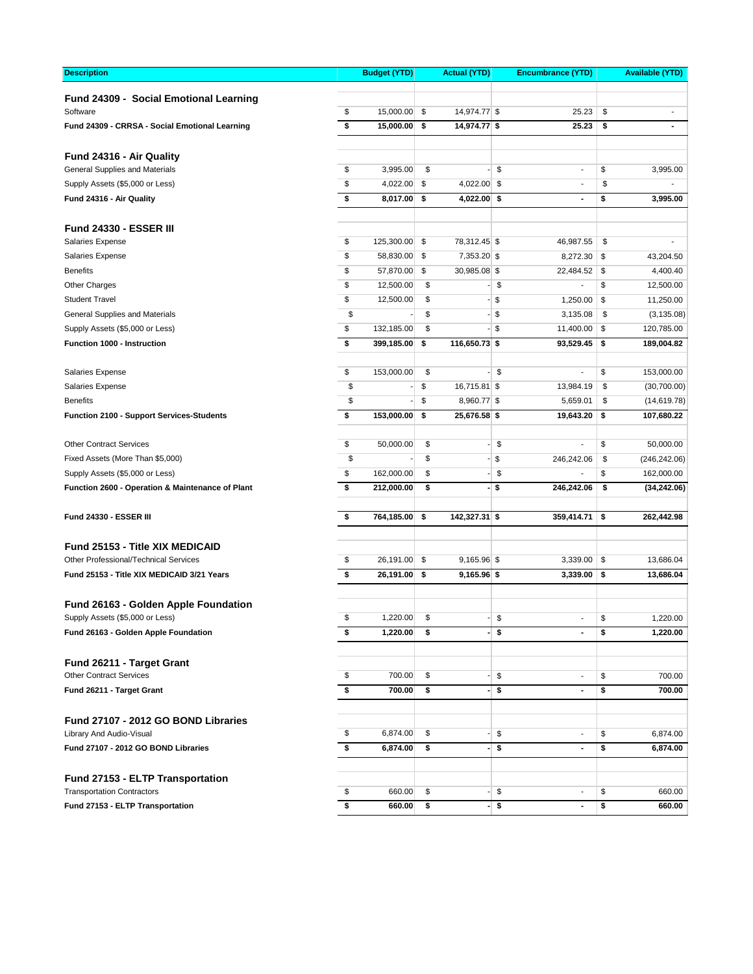| Fund 24309 - Social Emotional Learning<br>\$<br>15,000.00<br>\$<br>\$<br>Software<br>14,974.77 \$<br>25.23<br>\$<br>15,000.00<br>\$<br>25.23<br>Fund 24309 - CRRSA - Social Emotional Learning<br>14,974.77 \$<br>\$<br>$\blacksquare$<br>Fund 24316 - Air Quality<br>\$<br>\$<br>General Supplies and Materials<br>3,995.00<br>\$<br>\$<br>3,995.00<br>$\overline{\phantom{a}}$<br>\$<br>\$<br>4,022.00<br>\$<br>4,022.00 \$<br>Supply Assets (\$5,000 or Less)<br>$\overline{a}$<br>\$<br>\$<br>Fund 24316 - Air Quality<br>8,017.00<br>4,022.00 \$<br>\$<br>3,995.00<br>$\blacksquare$<br><b>Fund 24330 - ESSER III</b><br>\$<br><b>Salaries Expense</b><br>125,300.00<br>\$<br>78,312.45 \$<br>\$<br>46,987.55<br>\$<br><b>Salaries Expense</b><br>58,830.00<br>\$<br>7,353.20 \$<br>$8,272.30$ \$<br>43,204.50<br>\$<br>57,870.00<br>\$<br>30,985.08 \$<br>4,400.40<br><b>Benefits</b><br>$22,484.52$ \$<br>\$<br>Other Charges<br>12,500.00<br>\$<br>\$<br>\$<br>12,500.00<br>\$<br>\$<br>\$<br>12,500.00<br>\$<br>11,250.00<br><b>Student Travel</b><br>1,250.00<br>\$<br>\$<br>\$<br>\$<br>(3, 135.08)<br>General Supplies and Materials<br>3,135.08<br>\$<br>\$<br>\$<br>120,785.00<br>Supply Assets (\$5,000 or Less)<br>132,185.00<br>$11,400.00$ \\$<br>\$<br>Function 1000 - Instruction<br>399,185.00<br>\$<br>116,650.73 \$<br>$93,529.45$ \$<br>189,004.82<br>\$<br>\$<br>\$<br>\$<br>153,000.00<br><b>Salaries Expense</b><br>153,000.00<br>$\overline{a}$<br>\$<br>\$<br>\$<br><b>Salaries Expense</b><br>$16,715.81$ \$<br>(30,700.00)<br>13,984.19<br>\$<br>\$<br><b>Benefits</b><br>8,960.77 \$<br>\$<br>5,659.01<br>(14, 619.78)<br>\$<br>153,000.00<br>\$<br>25,676.58 \$<br>$19,643.20$ \$<br>107,680.22<br><b>Function 2100 - Support Services-Students</b><br>\$<br>50,000.00<br><b>Other Contract Services</b><br>\$<br>\$<br>\$<br>50,000.00<br>۰.<br>$\overline{a}$<br>\$<br>\$<br>\$<br>Fixed Assets (More Than \$5,000)<br>246,242.06<br>\$<br>(246, 242.06)<br>\$<br>162,000.00<br>\$<br>- \$<br>\$<br>162,000.00<br>Supply Assets (\$5,000 or Less)<br>\$<br>\$<br>212,000.00<br>- \$<br>Function 2600 - Operation & Maintenance of Plant<br>246,242.06<br>\$<br>(34, 242.06)<br>\$<br>764,185.00<br>\$<br>142,327.31 \$<br>262,442.98<br><b>Fund 24330 - ESSER III</b><br>359,414.71<br>\$<br><b>Fund 25153 - Title XIX MEDICAID</b><br>\$<br>Other Professional/Technical Services<br>26,191.00<br>\$<br>$9,165.96$ \$<br>13,686.04<br>$3,339.00$ \$<br>\$<br>\$<br>13,686.04<br>Fund 25153 - Title XIX MEDICAID 3/21 Years<br>26,191.00<br>$9,165.96$ \$<br>$3,339.00$ \$<br>Fund 26163 - Golden Apple Foundation<br>Supply Assets (\$5,000 or Less)<br>\$<br>1,220.00<br>\$<br>\$<br>1,220.00<br>\$<br>Fund 26163 - Golden Apple Foundation<br>\$<br>1,220.00<br>\$<br>\$<br>1,220.00<br>\$<br>Fund 26211 - Target Grant<br>\$<br><b>Other Contract Services</b><br>\$<br>700.00<br>\$<br>\$<br>700.00<br>$\overline{\phantom{a}}$<br>\$<br>700.00<br>\$<br>\$<br>$\blacksquare$<br>\$<br>700.00<br>Fund 26211 - Target Grant<br>Fund 27107 - 2012 GO BOND Libraries<br>Library And Audio-Visual<br>\$<br>6,874.00<br>\$<br>\$<br>\$<br>6,874.00<br>$\overline{\phantom{a}}$<br>\$<br>6,874.00<br>\$<br>\$<br>Fund 27107 - 2012 GO BOND Libraries<br>\$<br>6,874.00<br>$\blacksquare$<br>۰.<br>Fund 27153 - ELTP Transportation<br><b>Transportation Contractors</b><br>660.00<br>\$<br>\$<br>\$<br>\$<br>660.00<br>$\overline{\phantom{a}}$<br>\$<br>Fund 27153 - ELTP Transportation<br>660.00<br>\$<br>$-$ \$<br>\$<br>660.00<br>$\overline{\phantom{a}}$ | <b>Description</b> | <b>Budget (YTD)</b> | <b>Actual (YTD)</b> |  |  | <b>Encumbrance (YTD)</b> | <b>Available (YTD)</b> |  |  |
|---------------------------------------------------------------------------------------------------------------------------------------------------------------------------------------------------------------------------------------------------------------------------------------------------------------------------------------------------------------------------------------------------------------------------------------------------------------------------------------------------------------------------------------------------------------------------------------------------------------------------------------------------------------------------------------------------------------------------------------------------------------------------------------------------------------------------------------------------------------------------------------------------------------------------------------------------------------------------------------------------------------------------------------------------------------------------------------------------------------------------------------------------------------------------------------------------------------------------------------------------------------------------------------------------------------------------------------------------------------------------------------------------------------------------------------------------------------------------------------------------------------------------------------------------------------------------------------------------------------------------------------------------------------------------------------------------------------------------------------------------------------------------------------------------------------------------------------------------------------------------------------------------------------------------------------------------------------------------------------------------------------------------------------------------------------------------------------------------------------------------------------------------------------------------------------------------------------------------------------------------------------------------------------------------------------------------------------------------------------------------------------------------------------------------------------------------------------------------------------------------------------------------------------------------------------------------------------------------------------------------------------------------------------------------------------------------------------------------------------------------------------------------------------------------------------------------------------------------------------------------------------------------------------------------------------------------------------------------------------------------------------------------------------------------------------------------------------------------------------------------------------------------------------------------------------------------------------------------------------------------------------------------------------------------------------------------------------------------------------------------------------------------------------------------------------------------------------------------------------------------------------------------------------------------------------------------------------------------|--------------------|---------------------|---------------------|--|--|--------------------------|------------------------|--|--|
|                                                                                                                                                                                                                                                                                                                                                                                                                                                                                                                                                                                                                                                                                                                                                                                                                                                                                                                                                                                                                                                                                                                                                                                                                                                                                                                                                                                                                                                                                                                                                                                                                                                                                                                                                                                                                                                                                                                                                                                                                                                                                                                                                                                                                                                                                                                                                                                                                                                                                                                                                                                                                                                                                                                                                                                                                                                                                                                                                                                                                                                                                                                                                                                                                                                                                                                                                                                                                                                                                                                                                                                                   |                    |                     |                     |  |  |                          |                        |  |  |
|                                                                                                                                                                                                                                                                                                                                                                                                                                                                                                                                                                                                                                                                                                                                                                                                                                                                                                                                                                                                                                                                                                                                                                                                                                                                                                                                                                                                                                                                                                                                                                                                                                                                                                                                                                                                                                                                                                                                                                                                                                                                                                                                                                                                                                                                                                                                                                                                                                                                                                                                                                                                                                                                                                                                                                                                                                                                                                                                                                                                                                                                                                                                                                                                                                                                                                                                                                                                                                                                                                                                                                                                   |                    |                     |                     |  |  |                          |                        |  |  |
|                                                                                                                                                                                                                                                                                                                                                                                                                                                                                                                                                                                                                                                                                                                                                                                                                                                                                                                                                                                                                                                                                                                                                                                                                                                                                                                                                                                                                                                                                                                                                                                                                                                                                                                                                                                                                                                                                                                                                                                                                                                                                                                                                                                                                                                                                                                                                                                                                                                                                                                                                                                                                                                                                                                                                                                                                                                                                                                                                                                                                                                                                                                                                                                                                                                                                                                                                                                                                                                                                                                                                                                                   |                    |                     |                     |  |  |                          |                        |  |  |
|                                                                                                                                                                                                                                                                                                                                                                                                                                                                                                                                                                                                                                                                                                                                                                                                                                                                                                                                                                                                                                                                                                                                                                                                                                                                                                                                                                                                                                                                                                                                                                                                                                                                                                                                                                                                                                                                                                                                                                                                                                                                                                                                                                                                                                                                                                                                                                                                                                                                                                                                                                                                                                                                                                                                                                                                                                                                                                                                                                                                                                                                                                                                                                                                                                                                                                                                                                                                                                                                                                                                                                                                   |                    |                     |                     |  |  |                          |                        |  |  |
|                                                                                                                                                                                                                                                                                                                                                                                                                                                                                                                                                                                                                                                                                                                                                                                                                                                                                                                                                                                                                                                                                                                                                                                                                                                                                                                                                                                                                                                                                                                                                                                                                                                                                                                                                                                                                                                                                                                                                                                                                                                                                                                                                                                                                                                                                                                                                                                                                                                                                                                                                                                                                                                                                                                                                                                                                                                                                                                                                                                                                                                                                                                                                                                                                                                                                                                                                                                                                                                                                                                                                                                                   |                    |                     |                     |  |  |                          |                        |  |  |
|                                                                                                                                                                                                                                                                                                                                                                                                                                                                                                                                                                                                                                                                                                                                                                                                                                                                                                                                                                                                                                                                                                                                                                                                                                                                                                                                                                                                                                                                                                                                                                                                                                                                                                                                                                                                                                                                                                                                                                                                                                                                                                                                                                                                                                                                                                                                                                                                                                                                                                                                                                                                                                                                                                                                                                                                                                                                                                                                                                                                                                                                                                                                                                                                                                                                                                                                                                                                                                                                                                                                                                                                   |                    |                     |                     |  |  |                          |                        |  |  |
|                                                                                                                                                                                                                                                                                                                                                                                                                                                                                                                                                                                                                                                                                                                                                                                                                                                                                                                                                                                                                                                                                                                                                                                                                                                                                                                                                                                                                                                                                                                                                                                                                                                                                                                                                                                                                                                                                                                                                                                                                                                                                                                                                                                                                                                                                                                                                                                                                                                                                                                                                                                                                                                                                                                                                                                                                                                                                                                                                                                                                                                                                                                                                                                                                                                                                                                                                                                                                                                                                                                                                                                                   |                    |                     |                     |  |  |                          |                        |  |  |
|                                                                                                                                                                                                                                                                                                                                                                                                                                                                                                                                                                                                                                                                                                                                                                                                                                                                                                                                                                                                                                                                                                                                                                                                                                                                                                                                                                                                                                                                                                                                                                                                                                                                                                                                                                                                                                                                                                                                                                                                                                                                                                                                                                                                                                                                                                                                                                                                                                                                                                                                                                                                                                                                                                                                                                                                                                                                                                                                                                                                                                                                                                                                                                                                                                                                                                                                                                                                                                                                                                                                                                                                   |                    |                     |                     |  |  |                          |                        |  |  |
|                                                                                                                                                                                                                                                                                                                                                                                                                                                                                                                                                                                                                                                                                                                                                                                                                                                                                                                                                                                                                                                                                                                                                                                                                                                                                                                                                                                                                                                                                                                                                                                                                                                                                                                                                                                                                                                                                                                                                                                                                                                                                                                                                                                                                                                                                                                                                                                                                                                                                                                                                                                                                                                                                                                                                                                                                                                                                                                                                                                                                                                                                                                                                                                                                                                                                                                                                                                                                                                                                                                                                                                                   |                    |                     |                     |  |  |                          |                        |  |  |
|                                                                                                                                                                                                                                                                                                                                                                                                                                                                                                                                                                                                                                                                                                                                                                                                                                                                                                                                                                                                                                                                                                                                                                                                                                                                                                                                                                                                                                                                                                                                                                                                                                                                                                                                                                                                                                                                                                                                                                                                                                                                                                                                                                                                                                                                                                                                                                                                                                                                                                                                                                                                                                                                                                                                                                                                                                                                                                                                                                                                                                                                                                                                                                                                                                                                                                                                                                                                                                                                                                                                                                                                   |                    |                     |                     |  |  |                          |                        |  |  |
|                                                                                                                                                                                                                                                                                                                                                                                                                                                                                                                                                                                                                                                                                                                                                                                                                                                                                                                                                                                                                                                                                                                                                                                                                                                                                                                                                                                                                                                                                                                                                                                                                                                                                                                                                                                                                                                                                                                                                                                                                                                                                                                                                                                                                                                                                                                                                                                                                                                                                                                                                                                                                                                                                                                                                                                                                                                                                                                                                                                                                                                                                                                                                                                                                                                                                                                                                                                                                                                                                                                                                                                                   |                    |                     |                     |  |  |                          |                        |  |  |
|                                                                                                                                                                                                                                                                                                                                                                                                                                                                                                                                                                                                                                                                                                                                                                                                                                                                                                                                                                                                                                                                                                                                                                                                                                                                                                                                                                                                                                                                                                                                                                                                                                                                                                                                                                                                                                                                                                                                                                                                                                                                                                                                                                                                                                                                                                                                                                                                                                                                                                                                                                                                                                                                                                                                                                                                                                                                                                                                                                                                                                                                                                                                                                                                                                                                                                                                                                                                                                                                                                                                                                                                   |                    |                     |                     |  |  |                          |                        |  |  |
|                                                                                                                                                                                                                                                                                                                                                                                                                                                                                                                                                                                                                                                                                                                                                                                                                                                                                                                                                                                                                                                                                                                                                                                                                                                                                                                                                                                                                                                                                                                                                                                                                                                                                                                                                                                                                                                                                                                                                                                                                                                                                                                                                                                                                                                                                                                                                                                                                                                                                                                                                                                                                                                                                                                                                                                                                                                                                                                                                                                                                                                                                                                                                                                                                                                                                                                                                                                                                                                                                                                                                                                                   |                    |                     |                     |  |  |                          |                        |  |  |
|                                                                                                                                                                                                                                                                                                                                                                                                                                                                                                                                                                                                                                                                                                                                                                                                                                                                                                                                                                                                                                                                                                                                                                                                                                                                                                                                                                                                                                                                                                                                                                                                                                                                                                                                                                                                                                                                                                                                                                                                                                                                                                                                                                                                                                                                                                                                                                                                                                                                                                                                                                                                                                                                                                                                                                                                                                                                                                                                                                                                                                                                                                                                                                                                                                                                                                                                                                                                                                                                                                                                                                                                   |                    |                     |                     |  |  |                          |                        |  |  |
|                                                                                                                                                                                                                                                                                                                                                                                                                                                                                                                                                                                                                                                                                                                                                                                                                                                                                                                                                                                                                                                                                                                                                                                                                                                                                                                                                                                                                                                                                                                                                                                                                                                                                                                                                                                                                                                                                                                                                                                                                                                                                                                                                                                                                                                                                                                                                                                                                                                                                                                                                                                                                                                                                                                                                                                                                                                                                                                                                                                                                                                                                                                                                                                                                                                                                                                                                                                                                                                                                                                                                                                                   |                    |                     |                     |  |  |                          |                        |  |  |
|                                                                                                                                                                                                                                                                                                                                                                                                                                                                                                                                                                                                                                                                                                                                                                                                                                                                                                                                                                                                                                                                                                                                                                                                                                                                                                                                                                                                                                                                                                                                                                                                                                                                                                                                                                                                                                                                                                                                                                                                                                                                                                                                                                                                                                                                                                                                                                                                                                                                                                                                                                                                                                                                                                                                                                                                                                                                                                                                                                                                                                                                                                                                                                                                                                                                                                                                                                                                                                                                                                                                                                                                   |                    |                     |                     |  |  |                          |                        |  |  |
|                                                                                                                                                                                                                                                                                                                                                                                                                                                                                                                                                                                                                                                                                                                                                                                                                                                                                                                                                                                                                                                                                                                                                                                                                                                                                                                                                                                                                                                                                                                                                                                                                                                                                                                                                                                                                                                                                                                                                                                                                                                                                                                                                                                                                                                                                                                                                                                                                                                                                                                                                                                                                                                                                                                                                                                                                                                                                                                                                                                                                                                                                                                                                                                                                                                                                                                                                                                                                                                                                                                                                                                                   |                    |                     |                     |  |  |                          |                        |  |  |
|                                                                                                                                                                                                                                                                                                                                                                                                                                                                                                                                                                                                                                                                                                                                                                                                                                                                                                                                                                                                                                                                                                                                                                                                                                                                                                                                                                                                                                                                                                                                                                                                                                                                                                                                                                                                                                                                                                                                                                                                                                                                                                                                                                                                                                                                                                                                                                                                                                                                                                                                                                                                                                                                                                                                                                                                                                                                                                                                                                                                                                                                                                                                                                                                                                                                                                                                                                                                                                                                                                                                                                                                   |                    |                     |                     |  |  |                          |                        |  |  |
|                                                                                                                                                                                                                                                                                                                                                                                                                                                                                                                                                                                                                                                                                                                                                                                                                                                                                                                                                                                                                                                                                                                                                                                                                                                                                                                                                                                                                                                                                                                                                                                                                                                                                                                                                                                                                                                                                                                                                                                                                                                                                                                                                                                                                                                                                                                                                                                                                                                                                                                                                                                                                                                                                                                                                                                                                                                                                                                                                                                                                                                                                                                                                                                                                                                                                                                                                                                                                                                                                                                                                                                                   |                    |                     |                     |  |  |                          |                        |  |  |
|                                                                                                                                                                                                                                                                                                                                                                                                                                                                                                                                                                                                                                                                                                                                                                                                                                                                                                                                                                                                                                                                                                                                                                                                                                                                                                                                                                                                                                                                                                                                                                                                                                                                                                                                                                                                                                                                                                                                                                                                                                                                                                                                                                                                                                                                                                                                                                                                                                                                                                                                                                                                                                                                                                                                                                                                                                                                                                                                                                                                                                                                                                                                                                                                                                                                                                                                                                                                                                                                                                                                                                                                   |                    |                     |                     |  |  |                          |                        |  |  |
|                                                                                                                                                                                                                                                                                                                                                                                                                                                                                                                                                                                                                                                                                                                                                                                                                                                                                                                                                                                                                                                                                                                                                                                                                                                                                                                                                                                                                                                                                                                                                                                                                                                                                                                                                                                                                                                                                                                                                                                                                                                                                                                                                                                                                                                                                                                                                                                                                                                                                                                                                                                                                                                                                                                                                                                                                                                                                                                                                                                                                                                                                                                                                                                                                                                                                                                                                                                                                                                                                                                                                                                                   |                    |                     |                     |  |  |                          |                        |  |  |
|                                                                                                                                                                                                                                                                                                                                                                                                                                                                                                                                                                                                                                                                                                                                                                                                                                                                                                                                                                                                                                                                                                                                                                                                                                                                                                                                                                                                                                                                                                                                                                                                                                                                                                                                                                                                                                                                                                                                                                                                                                                                                                                                                                                                                                                                                                                                                                                                                                                                                                                                                                                                                                                                                                                                                                                                                                                                                                                                                                                                                                                                                                                                                                                                                                                                                                                                                                                                                                                                                                                                                                                                   |                    |                     |                     |  |  |                          |                        |  |  |
|                                                                                                                                                                                                                                                                                                                                                                                                                                                                                                                                                                                                                                                                                                                                                                                                                                                                                                                                                                                                                                                                                                                                                                                                                                                                                                                                                                                                                                                                                                                                                                                                                                                                                                                                                                                                                                                                                                                                                                                                                                                                                                                                                                                                                                                                                                                                                                                                                                                                                                                                                                                                                                                                                                                                                                                                                                                                                                                                                                                                                                                                                                                                                                                                                                                                                                                                                                                                                                                                                                                                                                                                   |                    |                     |                     |  |  |                          |                        |  |  |
|                                                                                                                                                                                                                                                                                                                                                                                                                                                                                                                                                                                                                                                                                                                                                                                                                                                                                                                                                                                                                                                                                                                                                                                                                                                                                                                                                                                                                                                                                                                                                                                                                                                                                                                                                                                                                                                                                                                                                                                                                                                                                                                                                                                                                                                                                                                                                                                                                                                                                                                                                                                                                                                                                                                                                                                                                                                                                                                                                                                                                                                                                                                                                                                                                                                                                                                                                                                                                                                                                                                                                                                                   |                    |                     |                     |  |  |                          |                        |  |  |
|                                                                                                                                                                                                                                                                                                                                                                                                                                                                                                                                                                                                                                                                                                                                                                                                                                                                                                                                                                                                                                                                                                                                                                                                                                                                                                                                                                                                                                                                                                                                                                                                                                                                                                                                                                                                                                                                                                                                                                                                                                                                                                                                                                                                                                                                                                                                                                                                                                                                                                                                                                                                                                                                                                                                                                                                                                                                                                                                                                                                                                                                                                                                                                                                                                                                                                                                                                                                                                                                                                                                                                                                   |                    |                     |                     |  |  |                          |                        |  |  |
|                                                                                                                                                                                                                                                                                                                                                                                                                                                                                                                                                                                                                                                                                                                                                                                                                                                                                                                                                                                                                                                                                                                                                                                                                                                                                                                                                                                                                                                                                                                                                                                                                                                                                                                                                                                                                                                                                                                                                                                                                                                                                                                                                                                                                                                                                                                                                                                                                                                                                                                                                                                                                                                                                                                                                                                                                                                                                                                                                                                                                                                                                                                                                                                                                                                                                                                                                                                                                                                                                                                                                                                                   |                    |                     |                     |  |  |                          |                        |  |  |
|                                                                                                                                                                                                                                                                                                                                                                                                                                                                                                                                                                                                                                                                                                                                                                                                                                                                                                                                                                                                                                                                                                                                                                                                                                                                                                                                                                                                                                                                                                                                                                                                                                                                                                                                                                                                                                                                                                                                                                                                                                                                                                                                                                                                                                                                                                                                                                                                                                                                                                                                                                                                                                                                                                                                                                                                                                                                                                                                                                                                                                                                                                                                                                                                                                                                                                                                                                                                                                                                                                                                                                                                   |                    |                     |                     |  |  |                          |                        |  |  |
|                                                                                                                                                                                                                                                                                                                                                                                                                                                                                                                                                                                                                                                                                                                                                                                                                                                                                                                                                                                                                                                                                                                                                                                                                                                                                                                                                                                                                                                                                                                                                                                                                                                                                                                                                                                                                                                                                                                                                                                                                                                                                                                                                                                                                                                                                                                                                                                                                                                                                                                                                                                                                                                                                                                                                                                                                                                                                                                                                                                                                                                                                                                                                                                                                                                                                                                                                                                                                                                                                                                                                                                                   |                    |                     |                     |  |  |                          |                        |  |  |
|                                                                                                                                                                                                                                                                                                                                                                                                                                                                                                                                                                                                                                                                                                                                                                                                                                                                                                                                                                                                                                                                                                                                                                                                                                                                                                                                                                                                                                                                                                                                                                                                                                                                                                                                                                                                                                                                                                                                                                                                                                                                                                                                                                                                                                                                                                                                                                                                                                                                                                                                                                                                                                                                                                                                                                                                                                                                                                                                                                                                                                                                                                                                                                                                                                                                                                                                                                                                                                                                                                                                                                                                   |                    |                     |                     |  |  |                          |                        |  |  |
|                                                                                                                                                                                                                                                                                                                                                                                                                                                                                                                                                                                                                                                                                                                                                                                                                                                                                                                                                                                                                                                                                                                                                                                                                                                                                                                                                                                                                                                                                                                                                                                                                                                                                                                                                                                                                                                                                                                                                                                                                                                                                                                                                                                                                                                                                                                                                                                                                                                                                                                                                                                                                                                                                                                                                                                                                                                                                                                                                                                                                                                                                                                                                                                                                                                                                                                                                                                                                                                                                                                                                                                                   |                    |                     |                     |  |  |                          |                        |  |  |
|                                                                                                                                                                                                                                                                                                                                                                                                                                                                                                                                                                                                                                                                                                                                                                                                                                                                                                                                                                                                                                                                                                                                                                                                                                                                                                                                                                                                                                                                                                                                                                                                                                                                                                                                                                                                                                                                                                                                                                                                                                                                                                                                                                                                                                                                                                                                                                                                                                                                                                                                                                                                                                                                                                                                                                                                                                                                                                                                                                                                                                                                                                                                                                                                                                                                                                                                                                                                                                                                                                                                                                                                   |                    |                     |                     |  |  |                          |                        |  |  |
|                                                                                                                                                                                                                                                                                                                                                                                                                                                                                                                                                                                                                                                                                                                                                                                                                                                                                                                                                                                                                                                                                                                                                                                                                                                                                                                                                                                                                                                                                                                                                                                                                                                                                                                                                                                                                                                                                                                                                                                                                                                                                                                                                                                                                                                                                                                                                                                                                                                                                                                                                                                                                                                                                                                                                                                                                                                                                                                                                                                                                                                                                                                                                                                                                                                                                                                                                                                                                                                                                                                                                                                                   |                    |                     |                     |  |  |                          |                        |  |  |
|                                                                                                                                                                                                                                                                                                                                                                                                                                                                                                                                                                                                                                                                                                                                                                                                                                                                                                                                                                                                                                                                                                                                                                                                                                                                                                                                                                                                                                                                                                                                                                                                                                                                                                                                                                                                                                                                                                                                                                                                                                                                                                                                                                                                                                                                                                                                                                                                                                                                                                                                                                                                                                                                                                                                                                                                                                                                                                                                                                                                                                                                                                                                                                                                                                                                                                                                                                                                                                                                                                                                                                                                   |                    |                     |                     |  |  |                          |                        |  |  |
|                                                                                                                                                                                                                                                                                                                                                                                                                                                                                                                                                                                                                                                                                                                                                                                                                                                                                                                                                                                                                                                                                                                                                                                                                                                                                                                                                                                                                                                                                                                                                                                                                                                                                                                                                                                                                                                                                                                                                                                                                                                                                                                                                                                                                                                                                                                                                                                                                                                                                                                                                                                                                                                                                                                                                                                                                                                                                                                                                                                                                                                                                                                                                                                                                                                                                                                                                                                                                                                                                                                                                                                                   |                    |                     |                     |  |  |                          |                        |  |  |
|                                                                                                                                                                                                                                                                                                                                                                                                                                                                                                                                                                                                                                                                                                                                                                                                                                                                                                                                                                                                                                                                                                                                                                                                                                                                                                                                                                                                                                                                                                                                                                                                                                                                                                                                                                                                                                                                                                                                                                                                                                                                                                                                                                                                                                                                                                                                                                                                                                                                                                                                                                                                                                                                                                                                                                                                                                                                                                                                                                                                                                                                                                                                                                                                                                                                                                                                                                                                                                                                                                                                                                                                   |                    |                     |                     |  |  |                          |                        |  |  |
|                                                                                                                                                                                                                                                                                                                                                                                                                                                                                                                                                                                                                                                                                                                                                                                                                                                                                                                                                                                                                                                                                                                                                                                                                                                                                                                                                                                                                                                                                                                                                                                                                                                                                                                                                                                                                                                                                                                                                                                                                                                                                                                                                                                                                                                                                                                                                                                                                                                                                                                                                                                                                                                                                                                                                                                                                                                                                                                                                                                                                                                                                                                                                                                                                                                                                                                                                                                                                                                                                                                                                                                                   |                    |                     |                     |  |  |                          |                        |  |  |
|                                                                                                                                                                                                                                                                                                                                                                                                                                                                                                                                                                                                                                                                                                                                                                                                                                                                                                                                                                                                                                                                                                                                                                                                                                                                                                                                                                                                                                                                                                                                                                                                                                                                                                                                                                                                                                                                                                                                                                                                                                                                                                                                                                                                                                                                                                                                                                                                                                                                                                                                                                                                                                                                                                                                                                                                                                                                                                                                                                                                                                                                                                                                                                                                                                                                                                                                                                                                                                                                                                                                                                                                   |                    |                     |                     |  |  |                          |                        |  |  |
|                                                                                                                                                                                                                                                                                                                                                                                                                                                                                                                                                                                                                                                                                                                                                                                                                                                                                                                                                                                                                                                                                                                                                                                                                                                                                                                                                                                                                                                                                                                                                                                                                                                                                                                                                                                                                                                                                                                                                                                                                                                                                                                                                                                                                                                                                                                                                                                                                                                                                                                                                                                                                                                                                                                                                                                                                                                                                                                                                                                                                                                                                                                                                                                                                                                                                                                                                                                                                                                                                                                                                                                                   |                    |                     |                     |  |  |                          |                        |  |  |
|                                                                                                                                                                                                                                                                                                                                                                                                                                                                                                                                                                                                                                                                                                                                                                                                                                                                                                                                                                                                                                                                                                                                                                                                                                                                                                                                                                                                                                                                                                                                                                                                                                                                                                                                                                                                                                                                                                                                                                                                                                                                                                                                                                                                                                                                                                                                                                                                                                                                                                                                                                                                                                                                                                                                                                                                                                                                                                                                                                                                                                                                                                                                                                                                                                                                                                                                                                                                                                                                                                                                                                                                   |                    |                     |                     |  |  |                          |                        |  |  |
|                                                                                                                                                                                                                                                                                                                                                                                                                                                                                                                                                                                                                                                                                                                                                                                                                                                                                                                                                                                                                                                                                                                                                                                                                                                                                                                                                                                                                                                                                                                                                                                                                                                                                                                                                                                                                                                                                                                                                                                                                                                                                                                                                                                                                                                                                                                                                                                                                                                                                                                                                                                                                                                                                                                                                                                                                                                                                                                                                                                                                                                                                                                                                                                                                                                                                                                                                                                                                                                                                                                                                                                                   |                    |                     |                     |  |  |                          |                        |  |  |
|                                                                                                                                                                                                                                                                                                                                                                                                                                                                                                                                                                                                                                                                                                                                                                                                                                                                                                                                                                                                                                                                                                                                                                                                                                                                                                                                                                                                                                                                                                                                                                                                                                                                                                                                                                                                                                                                                                                                                                                                                                                                                                                                                                                                                                                                                                                                                                                                                                                                                                                                                                                                                                                                                                                                                                                                                                                                                                                                                                                                                                                                                                                                                                                                                                                                                                                                                                                                                                                                                                                                                                                                   |                    |                     |                     |  |  |                          |                        |  |  |
|                                                                                                                                                                                                                                                                                                                                                                                                                                                                                                                                                                                                                                                                                                                                                                                                                                                                                                                                                                                                                                                                                                                                                                                                                                                                                                                                                                                                                                                                                                                                                                                                                                                                                                                                                                                                                                                                                                                                                                                                                                                                                                                                                                                                                                                                                                                                                                                                                                                                                                                                                                                                                                                                                                                                                                                                                                                                                                                                                                                                                                                                                                                                                                                                                                                                                                                                                                                                                                                                                                                                                                                                   |                    |                     |                     |  |  |                          |                        |  |  |
|                                                                                                                                                                                                                                                                                                                                                                                                                                                                                                                                                                                                                                                                                                                                                                                                                                                                                                                                                                                                                                                                                                                                                                                                                                                                                                                                                                                                                                                                                                                                                                                                                                                                                                                                                                                                                                                                                                                                                                                                                                                                                                                                                                                                                                                                                                                                                                                                                                                                                                                                                                                                                                                                                                                                                                                                                                                                                                                                                                                                                                                                                                                                                                                                                                                                                                                                                                                                                                                                                                                                                                                                   |                    |                     |                     |  |  |                          |                        |  |  |
|                                                                                                                                                                                                                                                                                                                                                                                                                                                                                                                                                                                                                                                                                                                                                                                                                                                                                                                                                                                                                                                                                                                                                                                                                                                                                                                                                                                                                                                                                                                                                                                                                                                                                                                                                                                                                                                                                                                                                                                                                                                                                                                                                                                                                                                                                                                                                                                                                                                                                                                                                                                                                                                                                                                                                                                                                                                                                                                                                                                                                                                                                                                                                                                                                                                                                                                                                                                                                                                                                                                                                                                                   |                    |                     |                     |  |  |                          |                        |  |  |
|                                                                                                                                                                                                                                                                                                                                                                                                                                                                                                                                                                                                                                                                                                                                                                                                                                                                                                                                                                                                                                                                                                                                                                                                                                                                                                                                                                                                                                                                                                                                                                                                                                                                                                                                                                                                                                                                                                                                                                                                                                                                                                                                                                                                                                                                                                                                                                                                                                                                                                                                                                                                                                                                                                                                                                                                                                                                                                                                                                                                                                                                                                                                                                                                                                                                                                                                                                                                                                                                                                                                                                                                   |                    |                     |                     |  |  |                          |                        |  |  |
|                                                                                                                                                                                                                                                                                                                                                                                                                                                                                                                                                                                                                                                                                                                                                                                                                                                                                                                                                                                                                                                                                                                                                                                                                                                                                                                                                                                                                                                                                                                                                                                                                                                                                                                                                                                                                                                                                                                                                                                                                                                                                                                                                                                                                                                                                                                                                                                                                                                                                                                                                                                                                                                                                                                                                                                                                                                                                                                                                                                                                                                                                                                                                                                                                                                                                                                                                                                                                                                                                                                                                                                                   |                    |                     |                     |  |  |                          |                        |  |  |
|                                                                                                                                                                                                                                                                                                                                                                                                                                                                                                                                                                                                                                                                                                                                                                                                                                                                                                                                                                                                                                                                                                                                                                                                                                                                                                                                                                                                                                                                                                                                                                                                                                                                                                                                                                                                                                                                                                                                                                                                                                                                                                                                                                                                                                                                                                                                                                                                                                                                                                                                                                                                                                                                                                                                                                                                                                                                                                                                                                                                                                                                                                                                                                                                                                                                                                                                                                                                                                                                                                                                                                                                   |                    |                     |                     |  |  |                          |                        |  |  |
|                                                                                                                                                                                                                                                                                                                                                                                                                                                                                                                                                                                                                                                                                                                                                                                                                                                                                                                                                                                                                                                                                                                                                                                                                                                                                                                                                                                                                                                                                                                                                                                                                                                                                                                                                                                                                                                                                                                                                                                                                                                                                                                                                                                                                                                                                                                                                                                                                                                                                                                                                                                                                                                                                                                                                                                                                                                                                                                                                                                                                                                                                                                                                                                                                                                                                                                                                                                                                                                                                                                                                                                                   |                    |                     |                     |  |  |                          |                        |  |  |
|                                                                                                                                                                                                                                                                                                                                                                                                                                                                                                                                                                                                                                                                                                                                                                                                                                                                                                                                                                                                                                                                                                                                                                                                                                                                                                                                                                                                                                                                                                                                                                                                                                                                                                                                                                                                                                                                                                                                                                                                                                                                                                                                                                                                                                                                                                                                                                                                                                                                                                                                                                                                                                                                                                                                                                                                                                                                                                                                                                                                                                                                                                                                                                                                                                                                                                                                                                                                                                                                                                                                                                                                   |                    |                     |                     |  |  |                          |                        |  |  |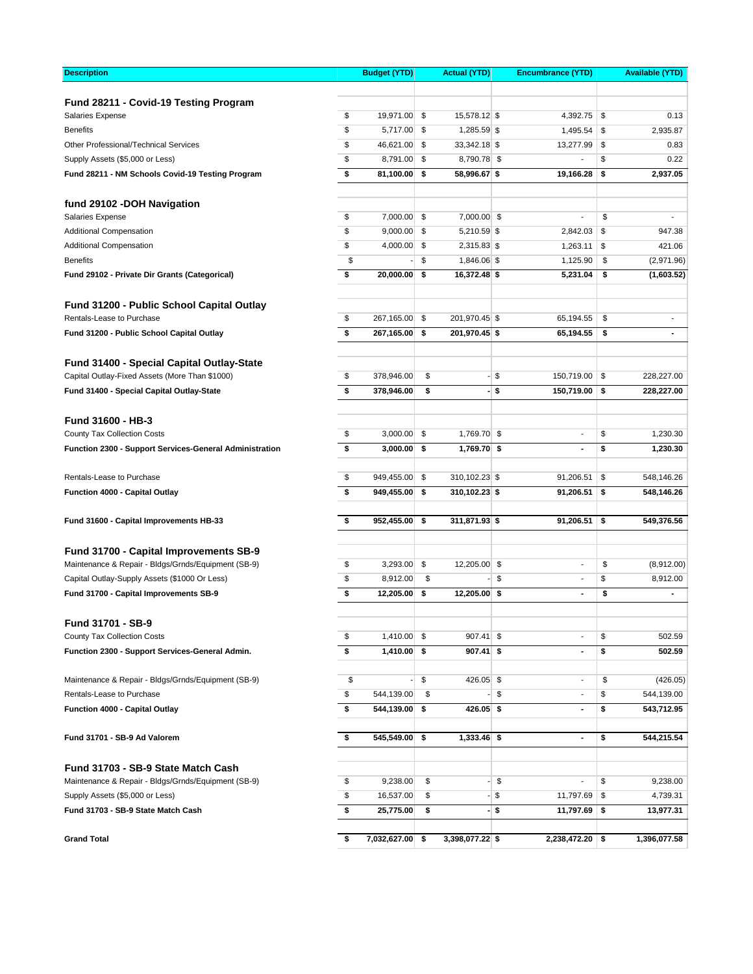| <b>Description</b>                                      | <b>Budget (YTD)</b>   | <b>Actual (YTD)</b>  |      | <b>Encumbrance (YTD)</b> | <b>Available (YTD)</b>         |
|---------------------------------------------------------|-----------------------|----------------------|------|--------------------------|--------------------------------|
|                                                         |                       |                      |      |                          |                                |
| Fund 28211 - Covid-19 Testing Program                   |                       |                      |      |                          |                                |
| <b>Salaries Expense</b>                                 | \$<br>19,971.00       | \$<br>15,578.12 \$   |      | $4,392.75$ \$            | 0.13                           |
| <b>Benefits</b>                                         | \$<br>5,717.00        | \$<br>1,285.59 \$    |      | 1,495.54                 | \$<br>2,935.87                 |
| Other Professional/Technical Services                   | \$<br>46,621.00       | \$<br>33,342.18 \$   |      | 13,277.99                | \$<br>0.83                     |
| Supply Assets (\$5,000 or Less)                         | \$<br>8,791.00        | \$<br>8,790.78 \$    |      |                          | \$<br>0.22                     |
| Fund 28211 - NM Schools Covid-19 Testing Program        | \$<br>81,100.00       | \$<br>58,996.67 \$   |      | 19,166.28                | \$<br>2,937.05                 |
| fund 29102 - DOH Navigation                             |                       |                      |      |                          |                                |
| Salaries Expense                                        | \$<br>7,000.00        | \$<br>7,000.00 \$    |      | L,                       | \$<br>$\blacksquare$           |
| <b>Additional Compensation</b>                          | \$<br>9,000.00        | \$<br>$5,210.59$ \$  |      | 2,842.03                 | \$<br>947.38                   |
| <b>Additional Compensation</b>                          | \$<br>4,000.00        | \$<br>2,315.83 \$    |      | 1,263.11                 | \$<br>421.06                   |
| <b>Benefits</b>                                         | \$                    | \$<br>1,846.06 \$    |      | 1,125.90                 | \$<br>(2,971.96)               |
| Fund 29102 - Private Dir Grants (Categorical)           | \$<br>20,000.00       | \$<br>16,372.48 \$   |      | 5,231.04                 | \$<br>(1,603.52)               |
| Fund 31200 - Public School Capital Outlay               |                       |                      |      |                          |                                |
| Rentals-Lease to Purchase                               | \$<br>267,165.00      | \$<br>201,970.45 \$  |      | 65,194.55                | \$<br>$\overline{\phantom{a}}$ |
| Fund 31200 - Public School Capital Outlay               | \$<br>267,165.00      | \$<br>201,970.45 \$  |      | 65,194.55                | \$<br>$\blacksquare$           |
| Fund 31400 - Special Capital Outlay-State               |                       |                      |      |                          |                                |
| Capital Outlay-Fixed Assets (More Than \$1000)          | \$<br>378,946.00      | \$                   | - \$ | 150,719.00               | \$<br>228,227.00               |
| Fund 31400 - Special Capital Outlay-State               | \$<br>378,946.00      | \$                   | - \$ | 150,719.00               | \$<br>228,227.00               |
| <b>Fund 31600 - HB-3</b>                                |                       |                      |      |                          |                                |
| County Tax Collection Costs                             | \$<br>3,000.00        | \$<br>1,769.70 \$    |      | $\blacksquare$           | \$<br>1,230.30                 |
| Function 2300 - Support Services-General Administration | \$<br>3,000.00        | \$<br>1,769.70 \$    |      | $\blacksquare$           | \$<br>1,230.30                 |
| Rentals-Lease to Purchase                               | \$<br>949,455.00      | \$<br>310,102.23 \$  |      | 91,206.51                | \$<br>548,146.26               |
| Function 4000 - Capital Outlay                          | \$<br>949,455.00      | \$<br>310,102.23 \$  |      | 91,206.51                | \$<br>548,146.26               |
| Fund 31600 - Capital Improvements HB-33                 | \$<br>952,455.00      | \$<br>311,871.93 \$  |      | 91,206.51                | \$<br>549,376.56               |
|                                                         |                       |                      |      |                          |                                |
| Fund 31700 - Capital Improvements SB-9                  |                       |                      |      |                          |                                |
| Maintenance & Repair - Bldgs/Grnds/Equipment (SB-9)     | \$<br>3,293.00        | \$<br>12,205.00 \$   |      | $\overline{a}$           | \$<br>(8,912.00)               |
| Capital Outlay-Supply Assets (\$1000 Or Less)           | \$<br>8,912.00        | \$                   | \$   | $\blacksquare$           | \$<br>8,912.00                 |
| Fund 31700 - Capital Improvements SB-9                  | \$<br>12,205.00       | \$<br>$12,205.00$ \$ |      | $\blacksquare$           | \$<br>$\blacksquare$           |
| Fund 31701 - SB-9                                       |                       |                      |      |                          |                                |
| County Tax Collection Costs                             | \$<br>$1,410.00$ \$   | $907.41$ \$          |      | $\overline{a}$           | \$<br>502.59                   |
| Function 2300 - Support Services-General Admin.         | \$<br>$1,410.00$ \$   | $907.41$ \$          |      | $\blacksquare$           | \$<br>502.59                   |
| Maintenance & Repair - Bldgs/Grnds/Equipment (SB-9)     | \$                    | \$<br>426.05 \$      |      | $\overline{\phantom{a}}$ | \$<br>(426.05)                 |
| Rentals-Lease to Purchase                               | \$<br>544,139.00      | \$                   | \$   | $\overline{a}$           | \$<br>544,139.00               |
| Function 4000 - Capital Outlay                          | \$<br>544,139.00      | \$<br>$426.05$ \$    |      | $\blacksquare$           | \$<br>543,712.95               |
| Fund 31701 - SB-9 Ad Valorem                            | \$<br>545,549.00      | \$<br>$1,333.46$ \$  |      | $\blacksquare$           | \$<br>544,215.54               |
| Fund 31703 - SB-9 State Match Cash                      |                       |                      |      |                          |                                |
| Maintenance & Repair - Bldgs/Grnds/Equipment (SB-9)     | \$<br>9,238.00        | \$                   | \$   | $\overline{a}$           | \$<br>9,238.00                 |
| Supply Assets (\$5,000 or Less)                         | \$<br>16,537.00       | \$                   | \$   | 11,797.69                | \$<br>4,739.31                 |
| Fund 31703 - SB-9 State Match Cash                      | \$<br>25,775.00       | \$                   | - \$ | 11,797.69                | \$<br>13,977.31                |
| <b>Grand Total</b>                                      | \$<br>7,032,627.00 \$ | 3,398,077.22 \$      |      | $2,238,472.20$ \$        | 1,396,077.58                   |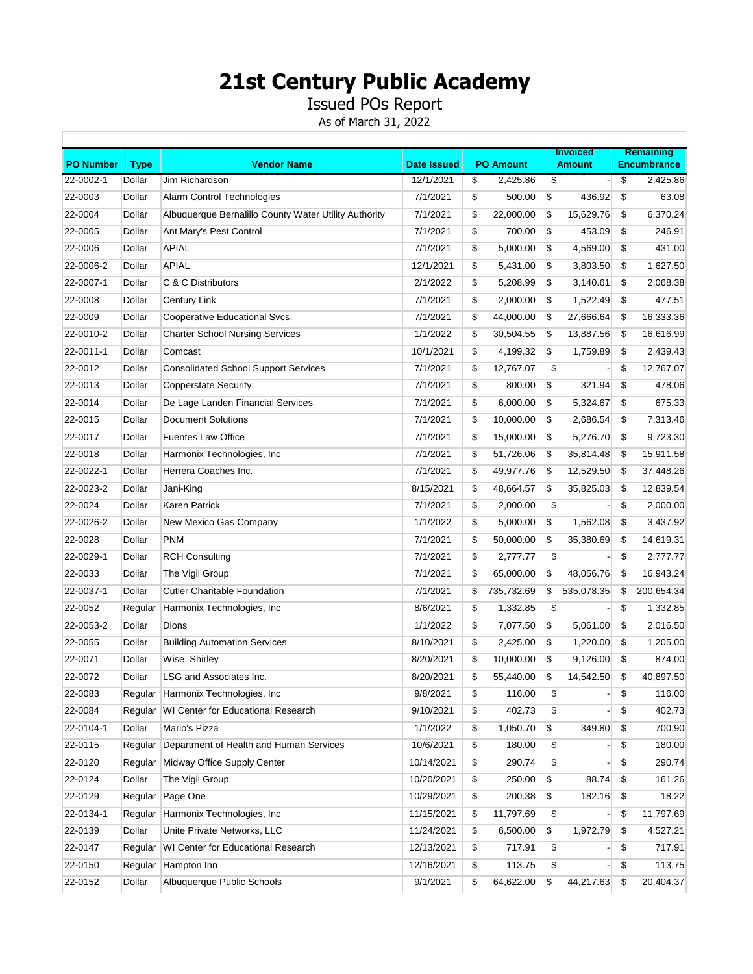Issued POs Report

|                  |             |                                                       |                    |                  | <b>Invoiced</b>  |    | <b>Remaining</b>   |
|------------------|-------------|-------------------------------------------------------|--------------------|------------------|------------------|----|--------------------|
| <b>PO Number</b> | <b>Type</b> | <b>Vendor Name</b>                                    | <b>Date Issued</b> | <b>PO Amount</b> | <b>Amount</b>    |    | <b>Encumbrance</b> |
| 22-0002-1        | Dollar      | Jim Richardson                                        | 12/1/2021          | \$<br>2,425.86   | \$               | \$ | 2,425.86           |
| 22-0003          | Dollar      | Alarm Control Technologies                            | 7/1/2021           | \$<br>500.00     | \$<br>436.92     | \$ | 63.08              |
| 22-0004          | Dollar      | Albuquerque Bernalillo County Water Utility Authority | 7/1/2021           | \$<br>22,000.00  | \$<br>15,629.76  | \$ | 6,370.24           |
| 22-0005          | Dollar      | Ant Mary's Pest Control                               | 7/1/2021           | \$<br>700.00     | \$<br>453.09     | \$ | 246.91             |
| 22-0006          | Dollar      | <b>APIAL</b>                                          | 7/1/2021           | \$<br>5,000.00   | \$<br>4,569.00   | \$ | 431.00             |
| 22-0006-2        | Dollar      | <b>APIAL</b>                                          | 12/1/2021          | \$<br>5,431.00   | \$<br>3,803.50   | \$ | 1,627.50           |
| 22-0007-1        | Dollar      | C & C Distributors                                    | 2/1/2022           | \$<br>5,208.99   | \$<br>3,140.61   | \$ | 2,068.38           |
| 22-0008          | Dollar      | Century Link                                          | 7/1/2021           | \$<br>2,000.00   | \$<br>1,522.49   | \$ | 477.51             |
| 22-0009          | Dollar      | Cooperative Educational Svcs.                         | 7/1/2021           | \$<br>44,000.00  | \$<br>27,666.64  | \$ | 16,333.36          |
| 22-0010-2        | Dollar      | <b>Charter School Nursing Services</b>                | 1/1/2022           | \$<br>30,504.55  | \$<br>13,887.56  | \$ | 16,616.99          |
| 22-0011-1        | Dollar      | Comcast                                               | 10/1/2021          | \$<br>4,199.32   | \$<br>1,759.89   | \$ | 2,439.43           |
| 22-0012          | Dollar      | <b>Consolidated School Support Services</b>           | 7/1/2021           | \$<br>12,767.07  | \$               | \$ | 12,767.07          |
| 22-0013          | Dollar      | <b>Copperstate Security</b>                           | 7/1/2021           | \$<br>800.00     | \$<br>321.94     | \$ | 478.06             |
| 22-0014          | Dollar      | De Lage Landen Financial Services                     | 7/1/2021           | \$<br>6,000.00   | \$<br>5,324.67   | \$ | 675.33             |
| 22-0015          | Dollar      | <b>Document Solutions</b>                             | 7/1/2021           | \$<br>10,000.00  | \$<br>2,686.54   | \$ | 7,313.46           |
| 22-0017          | Dollar      | <b>Fuentes Law Office</b>                             | 7/1/2021           | \$<br>15,000.00  | \$<br>5,276.70   | \$ | 9,723.30           |
| 22-0018          | Dollar      | Harmonix Technologies, Inc                            | 7/1/2021           | \$<br>51,726.06  | \$<br>35,814.48  | \$ | 15,911.58          |
| 22-0022-1        | Dollar      | Herrera Coaches Inc.                                  | 7/1/2021           | \$<br>49,977.76  | \$<br>12,529.50  | \$ | 37,448.26          |
| 22-0023-2        | Dollar      | Jani-King                                             | 8/15/2021          | \$<br>48,664.57  | \$<br>35,825.03  | \$ | 12,839.54          |
| 22-0024          | Dollar      | Karen Patrick                                         | 7/1/2021           | \$<br>2,000.00   | \$               | \$ | 2,000.00           |
| 22-0026-2        | Dollar      | New Mexico Gas Company                                | 1/1/2022           | \$<br>5,000.00   | \$<br>1,562.08   | \$ | 3,437.92           |
| 22-0028          | Dollar      | <b>PNM</b>                                            | 7/1/2021           | \$<br>50,000.00  | \$<br>35,380.69  | \$ | 14,619.31          |
| 22-0029-1        | Dollar      | <b>RCH Consulting</b>                                 | 7/1/2021           | \$<br>2,777.77   | \$               | \$ | 2,777.77           |
| 22-0033          | Dollar      | The Vigil Group                                       | 7/1/2021           | \$<br>65,000.00  | \$<br>48,056.76  | \$ | 16,943.24          |
| 22-0037-1        | Dollar      | <b>Cutler Charitable Foundation</b>                   | 7/1/2021           | \$<br>735,732.69 | \$<br>535,078.35 | \$ | 200,654.34         |
| 22-0052          | Regular     | Harmonix Technologies, Inc.                           | 8/6/2021           | \$<br>1,332.85   | \$               | \$ | 1,332.85           |
| 22-0053-2        | Dollar      | Dions                                                 | 1/1/2022           | \$<br>7,077.50   | \$<br>5,061.00   | \$ | 2,016.50           |
| 22-0055          | Dollar      | <b>Building Automation Services</b>                   | 8/10/2021          | \$<br>2,425.00   | \$<br>1,220.00   | \$ | 1,205.00           |
| 22-0071          | Dollar      | Wise, Shirley                                         | 8/20/2021          | \$<br>10,000.00  | \$<br>9,126.00   | \$ | 874.00             |
| 22-0072          | Dollar      | LSG and Associates Inc.                               | 8/20/2021          | \$<br>55,440.00  | \$<br>14,542.50  | \$ | 40,897.50          |
| 22-0083          |             | Regular Harmonix Technologies, Inc                    | 9/8/2021           | \$<br>116.00     | \$               | \$ | 116.00             |
| 22-0084          |             | Regular WI Center for Educational Research            | 9/10/2021          | \$<br>402.73     | \$               | \$ | 402.73             |
| 22-0104-1        | Dollar      | Mario's Pizza                                         | 1/1/2022           | \$<br>1,050.70   | \$<br>349.80     | \$ | 700.90             |
| 22-0115          |             | Regular Department of Health and Human Services       | 10/6/2021          | \$<br>180.00     | \$               | \$ | 180.00             |
| 22-0120          |             | Regular Midway Office Supply Center                   | 10/14/2021         | \$<br>290.74     | \$               | \$ | 290.74             |
| 22-0124          | Dollar      | The Vigil Group                                       | 10/20/2021         | \$<br>250.00     | \$<br>88.74      | \$ | 161.26             |
| 22-0129          |             | Regular Page One                                      | 10/29/2021         | \$<br>200.38     | \$<br>182.16     | \$ | 18.22              |
| 22-0134-1        |             | Regular Harmonix Technologies, Inc.                   | 11/15/2021         | \$<br>11,797.69  | \$               | \$ | 11,797.69          |
| 22-0139          | Dollar      | Unite Private Networks, LLC                           | 11/24/2021         | \$<br>6,500.00   | \$<br>1,972.79   | \$ | 4,527.21           |
| 22-0147          |             | Regular WI Center for Educational Research            | 12/13/2021         | \$<br>717.91     | \$               | \$ | 717.91             |
| 22-0150          |             | Regular Hampton Inn                                   | 12/16/2021         | \$<br>113.75     | \$               | \$ | 113.75             |
| 22-0152          | Dollar      | Albuquerque Public Schools                            | 9/1/2021           | \$<br>64,622.00  | \$<br>44,217.63  | \$ | 20,404.37          |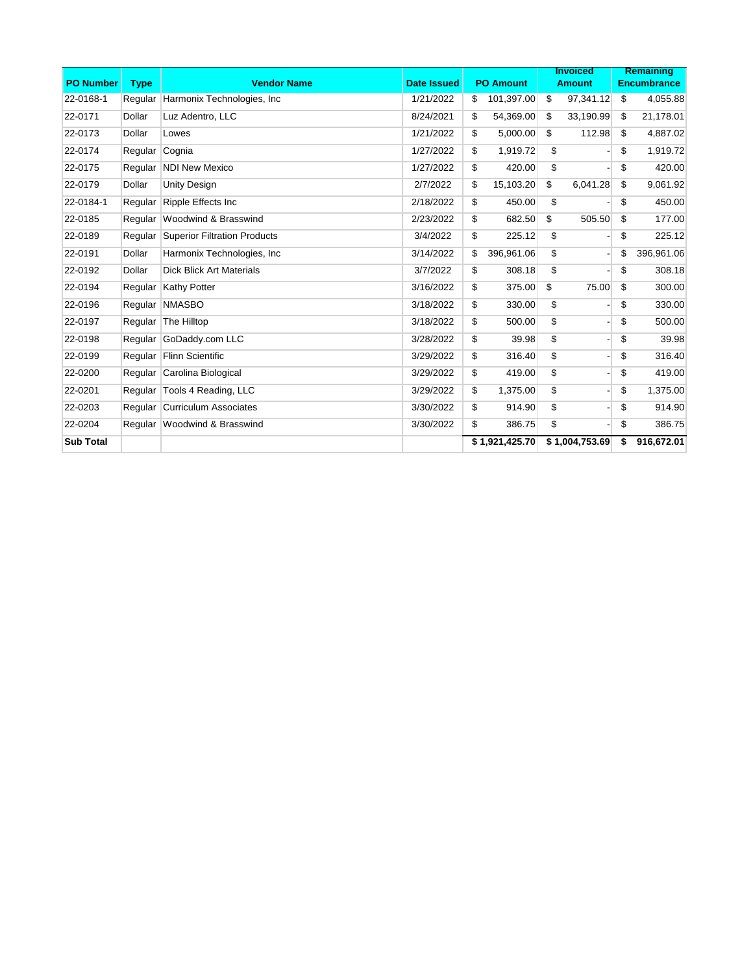|                  |             |                                      |                    |                  | <b>Invoiced</b> |                | <b>Remaining</b>   |
|------------------|-------------|--------------------------------------|--------------------|------------------|-----------------|----------------|--------------------|
| <b>PO Number</b> | <b>Type</b> | <b>Vendor Name</b>                   | <b>Date Issued</b> | <b>PO Amount</b> |                 | <b>Amount</b>  | <b>Encumbrance</b> |
| 22-0168-1        | Regular     | Harmonix Technologies, Inc.          | 1/21/2022          | \$<br>101,397.00 | \$              | 97,341.12      | \$<br>4,055.88     |
| 22-0171          | Dollar      | Luz Adentro, LLC                     | 8/24/2021          | \$<br>54,369.00  | \$              | 33,190.99      | \$<br>21,178.01    |
| 22-0173          | Dollar      | Lowes                                | 1/21/2022          | \$<br>5,000.00   | \$              | 112.98         | \$<br>4,887.02     |
| 22-0174          | Regular     | Cognia                               | 1/27/2022          | \$<br>1,919.72   | \$              |                | \$<br>1,919.72     |
| 22-0175          |             | Regular   NDI New Mexico             | 1/27/2022          | \$<br>420.00     | \$              |                | \$<br>420.00       |
| 22-0179          | Dollar      | <b>Unity Design</b>                  | 2/7/2022           | \$<br>15,103.20  | \$              | 6,041.28       | \$<br>9,061.92     |
| 22-0184-1        | Regular     | Ripple Effects Inc                   | 2/18/2022          | \$<br>450.00     | \$              |                | \$<br>450.00       |
| 22-0185          |             | Regular Woodwind & Brasswind         | 2/23/2022          | \$<br>682.50     | \$              | 505.50         | \$<br>177.00       |
| 22-0189          |             | Regular Superior Filtration Products | 3/4/2022           | \$<br>225.12     | \$              |                | \$<br>225.12       |
| 22-0191          | Dollar      | Harmonix Technologies, Inc.          | 3/14/2022          | \$<br>396,961.06 | \$              |                | \$<br>396,961.06   |
| 22-0192          | Dollar      | <b>Dick Blick Art Materials</b>      | 3/7/2022           | \$<br>308.18     | \$              |                | \$<br>308.18       |
| 22-0194          | Regular     | <b>Kathy Potter</b>                  | 3/16/2022          | \$<br>375.00     | \$              | 75.00          | \$<br>300.00       |
| 22-0196          | Regular     | <b>NMASBO</b>                        | 3/18/2022          | \$<br>330.00     | \$              |                | \$<br>330.00       |
| 22-0197          |             | Regular The Hilltop                  | 3/18/2022          | \$<br>500.00     | \$              |                | \$<br>500.00       |
| 22-0198          |             | Regular GoDaddy.com LLC              | 3/28/2022          | \$<br>39.98      | \$              |                | \$<br>39.98        |
| 22-0199          | Regular     | <b>Flinn Scientific</b>              | 3/29/2022          | \$<br>316.40     | \$              |                | \$<br>316.40       |
| 22-0200          |             | Regular Carolina Biological          | 3/29/2022          | \$<br>419.00     | \$              |                | \$<br>419.00       |
| 22-0201          |             | Regular   Tools 4 Reading, LLC       | 3/29/2022          | \$<br>1,375.00   | \$              |                | \$<br>1,375.00     |
| 22-0203          |             | Regular Curriculum Associates        | 3/30/2022          | \$<br>914.90     | \$              |                | \$<br>914.90       |
| 22-0204          |             | Regular Woodwind & Brasswind         | 3/30/2022          | \$<br>386.75     | \$              |                | \$<br>386.75       |
| <b>Sub Total</b> |             |                                      |                    | \$1.921.425.70   |                 | \$1,004,753.69 | \$<br>916.672.01   |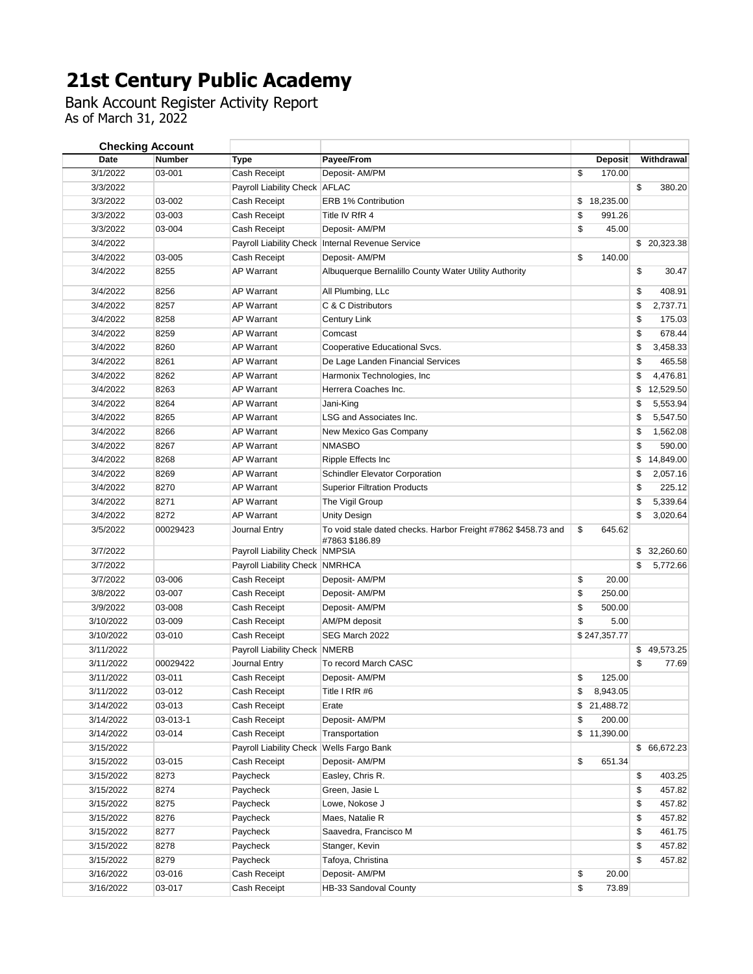Bank Account Register Activity Report As of March 31, 2022

| <b>Checking Account</b> |               |                                          |                                                               |                 |                 |
|-------------------------|---------------|------------------------------------------|---------------------------------------------------------------|-----------------|-----------------|
| Date                    | <b>Number</b> | Type                                     | Payee/From                                                    | <b>Deposit</b>  | Withdrawal      |
| 3/1/2022                | 03-001        | Cash Receipt                             | Deposit- AM/PM                                                | \$<br>170.00    |                 |
| 3/3/2022                |               | Payroll Liability Check AFLAC            |                                                               |                 | \$<br>380.20    |
| 3/3/2022                | 03-002        | Cash Receipt                             | ERB 1% Contribution                                           | \$<br>18,235.00 |                 |
| 3/3/2022                | 03-003        | Cash Receipt                             | Title IV RfR 4                                                | \$<br>991.26    |                 |
| 3/3/2022                | 03-004        | Cash Receipt                             | Deposit- AM/PM                                                | \$<br>45.00     |                 |
| 3/4/2022                |               |                                          | Payroll Liability Check   Internal Revenue Service            |                 | \$20,323.38     |
| 3/4/2022                | 03-005        | Cash Receipt                             | Deposit- AM/PM                                                | \$<br>140.00    |                 |
| 3/4/2022                | 8255          | <b>AP Warrant</b>                        | Albuquerque Bernalillo County Water Utility Authority         |                 | \$<br>30.47     |
| 3/4/2022                | 8256          | <b>AP Warrant</b>                        | All Plumbing, LLc                                             |                 | \$<br>408.91    |
| 3/4/2022                | 8257          | <b>AP Warrant</b>                        | C & C Distributors                                            |                 | \$<br>2,737.71  |
| 3/4/2022                | 8258          | AP Warrant                               | Century Link                                                  |                 | \$<br>175.03    |
| 3/4/2022                | 8259          | <b>AP Warrant</b>                        | Comcast                                                       |                 | \$<br>678.44    |
| 3/4/2022                | 8260          | <b>AP Warrant</b>                        | Cooperative Educational Svcs.                                 |                 | \$<br>3,458.33  |
| 3/4/2022                | 8261          | <b>AP Warrant</b>                        | De Lage Landen Financial Services                             |                 | \$<br>465.58    |
| 3/4/2022                | 8262          | <b>AP Warrant</b>                        | Harmonix Technologies, Inc                                    |                 | \$<br>4,476.81  |
| 3/4/2022                | 8263          | <b>AP Warrant</b>                        | Herrera Coaches Inc.                                          |                 | \$<br>12,529.50 |
| 3/4/2022                | 8264          | <b>AP Warrant</b>                        | Jani-King                                                     |                 | \$<br>5,553.94  |
| 3/4/2022                | 8265          | <b>AP Warrant</b>                        | LSG and Associates Inc.                                       |                 | \$<br>5,547.50  |
| 3/4/2022                | 8266          | <b>AP Warrant</b>                        | New Mexico Gas Company                                        |                 | \$<br>1,562.08  |
| 3/4/2022                | 8267          | <b>AP Warrant</b>                        | <b>NMASBO</b>                                                 |                 | \$<br>590.00    |
| 3/4/2022                | 8268          | <b>AP Warrant</b>                        | Ripple Effects Inc                                            |                 | \$<br>14,849.00 |
| 3/4/2022                | 8269          | <b>AP Warrant</b>                        | <b>Schindler Elevator Corporation</b>                         |                 | \$<br>2,057.16  |
| 3/4/2022                | 8270          | <b>AP Warrant</b>                        | <b>Superior Filtration Products</b>                           |                 | \$<br>225.12    |
| 3/4/2022                | 8271          | <b>AP Warrant</b>                        | The Vigil Group                                               |                 | \$<br>5,339.64  |
| 3/4/2022                | 8272          | <b>AP Warrant</b>                        | Unity Design                                                  |                 | \$<br>3,020.64  |
| 3/5/2022                | 00029423      | Journal Entry                            | To void stale dated checks. Harbor Freight #7862 \$458.73 and | \$<br>645.62    |                 |
| 3/7/2022                |               | Payroll Liability Check NMPSIA           | #7863 \$186.89                                                |                 | \$32,260.60     |
| 3/7/2022                |               | Payroll Liability Check NMRHCA           |                                                               |                 | \$<br>5,772.66  |
| 3/7/2022                | 03-006        | Cash Receipt                             | Deposit- AM/PM                                                | \$<br>20.00     |                 |
| 3/8/2022                | 03-007        | Cash Receipt                             | Deposit- AM/PM                                                | \$<br>250.00    |                 |
| 3/9/2022                | 03-008        | Cash Receipt                             | Deposit- AM/PM                                                | \$<br>500.00    |                 |
| 3/10/2022               | 03-009        | Cash Receipt                             | AM/PM deposit                                                 | \$<br>5.00      |                 |
| 3/10/2022               | 03-010        | Cash Receipt                             | SEG March 2022                                                | \$247,357.77    |                 |
| 3/11/2022               |               | Payroll Liability Check NMERB            |                                                               |                 | \$49,573.25     |
| 3/11/2022               | 00029422      | Journal Entry                            | To record March CASC                                          |                 | \$<br>77.69     |
| 3/11/2022               | 03-011        | Cash Receipt                             | Deposit- AM/PM                                                | \$<br>125.00    |                 |
| 3/11/2022               | 03-012        | Cash Receipt                             | Title I RfR #6                                                | 8,943.05        |                 |
| 3/14/2022               | 03-013        | Cash Receipt                             | Erate                                                         | \$21,488.72     |                 |
| 3/14/2022               | 03-013-1      | Cash Receipt                             | Deposit- AM/PM                                                | \$<br>200.00    |                 |
| 3/14/2022               | 03-014        | Cash Receipt                             | Transportation                                                | \$<br>11,390.00 |                 |
| 3/15/2022               |               | Payroll Liability Check Wells Fargo Bank |                                                               |                 | \$66,672.23     |
| 3/15/2022               | 03-015        | Cash Receipt                             | Deposit- AM/PM                                                | \$<br>651.34    |                 |
| 3/15/2022               | 8273          | Paycheck                                 | Easley, Chris R.                                              |                 | \$<br>403.25    |
| 3/15/2022               | 8274          | Paycheck                                 | Green, Jasie L                                                |                 | \$<br>457.82    |
| 3/15/2022               | 8275          | Paycheck                                 | Lowe, Nokose J                                                |                 | \$<br>457.82    |
| 3/15/2022               | 8276          | Paycheck                                 | Maes, Natalie R                                               |                 | \$<br>457.82    |
| 3/15/2022               | 8277          | Paycheck                                 | Saavedra, Francisco M                                         |                 | \$<br>461.75    |
| 3/15/2022               | 8278          | Paycheck                                 | Stanger, Kevin                                                |                 | \$<br>457.82    |
| 3/15/2022               | 8279          | Paycheck                                 | Tafoya, Christina                                             |                 | \$<br>457.82    |
| 3/16/2022               | 03-016        | Cash Receipt                             | Deposit- AM/PM                                                | \$<br>20.00     |                 |
| 3/16/2022               | 03-017        | Cash Receipt                             | HB-33 Sandoval County                                         | \$<br>73.89     |                 |
|                         |               |                                          |                                                               |                 |                 |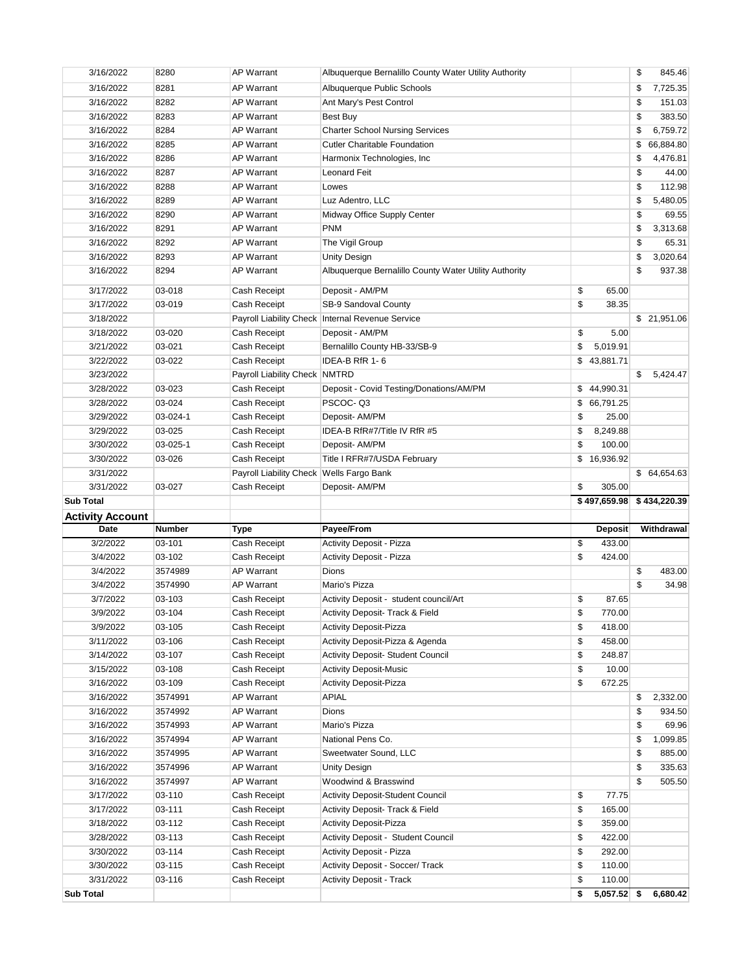| 3/16/2022                     | 8280             | <b>AP Warrant</b>                        | Albuquerque Bernalillo County Water Utility Authority               |          |                           | \$<br>845.46    |
|-------------------------------|------------------|------------------------------------------|---------------------------------------------------------------------|----------|---------------------------|-----------------|
| 3/16/2022                     | 8281             | <b>AP Warrant</b>                        | Albuquerque Public Schools                                          |          |                           | \$<br>7,725.35  |
| 3/16/2022                     | 8282             | <b>AP Warrant</b>                        | Ant Mary's Pest Control                                             |          |                           | \$<br>151.03    |
| 3/16/2022                     | 8283             | <b>AP Warrant</b>                        | Best Buy                                                            |          |                           | \$<br>383.50    |
| 3/16/2022                     | 8284             | <b>AP Warrant</b>                        | <b>Charter School Nursing Services</b>                              |          |                           | \$<br>6,759.72  |
| 3/16/2022                     | 8285             | <b>AP Warrant</b>                        | <b>Cutler Charitable Foundation</b>                                 |          |                           | \$<br>66,884.80 |
| 3/16/2022                     | 8286             | <b>AP Warrant</b>                        | Harmonix Technologies, Inc.                                         |          |                           | \$<br>4,476.81  |
| 3/16/2022                     | 8287             | <b>AP Warrant</b>                        | <b>Leonard Feit</b>                                                 |          |                           | \$<br>44.00     |
| 3/16/2022                     | 8288             | <b>AP Warrant</b>                        | Lowes                                                               |          |                           | \$<br>112.98    |
| 3/16/2022                     | 8289             | <b>AP Warrant</b>                        | Luz Adentro, LLC                                                    |          |                           | \$<br>5,480.05  |
| 3/16/2022                     | 8290             | AP Warrant                               | Midway Office Supply Center                                         |          |                           | \$<br>69.55     |
| 3/16/2022                     | 8291             | <b>AP Warrant</b>                        | <b>PNM</b>                                                          |          |                           | \$<br>3,313.68  |
| 3/16/2022                     | 8292             | <b>AP Warrant</b>                        | The Vigil Group                                                     |          |                           | \$<br>65.31     |
| 3/16/2022                     | 8293             | <b>AP Warrant</b>                        | Unity Design                                                        |          |                           | \$<br>3,020.64  |
| 3/16/2022                     | 8294             | AP Warrant                               | Albuquerque Bernalillo County Water Utility Authority               |          |                           | \$<br>937.38    |
| 3/17/2022                     | 03-018           | Cash Receipt                             | Deposit - AM/PM                                                     | \$       | 65.00                     |                 |
| 3/17/2022                     | 03-019           | Cash Receipt                             | SB-9 Sandoval County                                                | \$       | 38.35                     |                 |
| 3/18/2022                     |                  |                                          | Payroll Liability Check   Internal Revenue Service                  |          |                           | \$21,951.06     |
| 3/18/2022                     | 03-020           | Cash Receipt                             | Deposit - AM/PM                                                     | \$       | 5.00                      |                 |
| 3/21/2022                     | 03-021           | Cash Receipt                             | Bernalillo County HB-33/SB-9                                        | \$       | 5,019.91                  |                 |
| 3/22/2022                     | 03-022           | Cash Receipt                             | IDEA-B RfR 1-6                                                      | \$       | 43,881.71                 |                 |
| 3/23/2022                     |                  | Payroll Liability Check NMTRD            |                                                                     |          |                           | \$<br>5,424.47  |
| 3/28/2022                     | 03-023           | Cash Receipt                             | Deposit - Covid Testing/Donations/AM/PM                             | \$       | 44,990.31                 |                 |
| 3/28/2022                     | 03-024           | Cash Receipt                             | PSCOC-Q3                                                            | \$       | 66,791.25                 |                 |
| 3/29/2022                     | 03-024-1         | Cash Receipt                             | Deposit- AM/PM                                                      | \$       | 25.00                     |                 |
| 3/29/2022                     | 03-025           | Cash Receipt                             | IDEA-B RfR#7/Title IV RfR #5                                        | \$       | 8,249.88                  |                 |
| 3/30/2022                     | 03-025-1         | Cash Receipt                             | Deposit- AM/PM                                                      | \$       | 100.00                    |                 |
| 3/30/2022                     | 03-026           | Cash Receipt                             | Title I RFR#7/USDA February                                         | \$       | 16,936.92                 |                 |
| 3/31/2022                     |                  | Payroll Liability Check Wells Fargo Bank |                                                                     |          |                           | \$64,654.63     |
| 3/31/2022                     | 03-027           | Cash Receipt                             | Deposit- AM/PM                                                      | \$       | 305.00                    |                 |
| <b>Sub Total</b>              |                  |                                          |                                                                     |          | \$497,659.98 \$434,220.39 |                 |
|                               |                  |                                          |                                                                     |          |                           |                 |
| <b>Activity Account</b>       |                  |                                          |                                                                     |          |                           |                 |
| Date                          | <b>Number</b>    | Type                                     | Payee/From                                                          |          | <b>Deposit</b>            | Withdrawal      |
| 3/2/2022                      | 03-101           | Cash Receipt                             | <b>Activity Deposit - Pizza</b>                                     | \$       | 433.00                    |                 |
| 3/4/2022                      | 03-102           | Cash Receipt                             | <b>Activity Deposit - Pizza</b>                                     | \$       | 424.00                    |                 |
| 3/4/2022                      | 3574989          | <b>AP Warrant</b>                        | Dions                                                               |          |                           | \$<br>483.00    |
| 3/4/2022                      | 3574990          | <b>AP Warrant</b>                        | Mario's Pizza                                                       |          |                           | \$<br>34.98     |
| 3/7/2022                      | 03-103           | Cash Receipt                             | Activity Deposit - student council/Art                              | \$       | 87.65                     |                 |
| 3/9/2022                      | 03-104           | Cash Receipt                             | <b>Activity Deposit- Track &amp; Field</b>                          | \$       | 770.00                    |                 |
| 3/9/2022                      | 03-105           | Cash Receipt                             | <b>Activity Deposit-Pizza</b>                                       | \$       | 418.00                    |                 |
| 3/11/2022                     | 03-106           | Cash Receipt                             | Activity Deposit-Pizza & Agenda                                     | \$       | 458.00                    |                 |
| 3/14/2022                     | 03-107           | Cash Receipt                             | <b>Activity Deposit- Student Council</b>                            | \$       | 248.87                    |                 |
| 3/15/2022                     | 03-108           | Cash Receipt                             | <b>Activity Deposit-Music</b>                                       | \$       | 10.00                     |                 |
| 3/16/2022                     | 03-109           | Cash Receipt                             | <b>Activity Deposit-Pizza</b>                                       | \$       | 672.25                    |                 |
| 3/16/2022                     | 3574991          | <b>AP Warrant</b>                        | <b>APIAL</b>                                                        |          |                           | \$<br>2,332.00  |
| 3/16/2022                     | 3574992          | AP Warrant                               | Dions                                                               |          |                           | \$<br>934.50    |
| 3/16/2022                     | 3574993          | AP Warrant                               | Mario's Pizza                                                       |          |                           | \$<br>69.96     |
| 3/16/2022                     | 3574994          | <b>AP Warrant</b>                        | National Pens Co.                                                   |          |                           | \$<br>1,099.85  |
| 3/16/2022                     | 3574995          | AP Warrant                               | Sweetwater Sound, LLC                                               |          |                           | \$<br>885.00    |
| 3/16/2022                     | 3574996          | <b>AP Warrant</b>                        | <b>Unity Design</b>                                                 |          |                           | \$<br>335.63    |
| 3/16/2022                     | 3574997          | AP Warrant                               | Woodwind & Brasswind                                                |          |                           | \$<br>505.50    |
| 3/17/2022                     | 03-110           | Cash Receipt                             | <b>Activity Deposit-Student Council</b>                             | \$       | 77.75                     |                 |
| 3/17/2022                     | 03-111           | Cash Receipt                             | <b>Activity Deposit- Track &amp; Field</b>                          | \$       | 165.00                    |                 |
| 3/18/2022                     | 03-112           | Cash Receipt                             | <b>Activity Deposit-Pizza</b>                                       | \$       | 359.00                    |                 |
| 3/28/2022                     | 03-113           | Cash Receipt                             | Activity Deposit - Student Council                                  | \$       | 422.00                    |                 |
| 3/30/2022<br>3/30/2022        | 03-114<br>03-115 | Cash Receipt                             | <b>Activity Deposit - Pizza</b>                                     | \$<br>\$ | 292.00<br>110.00          |                 |
|                               | 03-116           | Cash Receipt<br>Cash Receipt             | Activity Deposit - Soccer/ Track<br><b>Activity Deposit - Track</b> | \$       | 110.00                    |                 |
| 3/31/2022<br><b>Sub Total</b> |                  |                                          |                                                                     | \$       | $5,057.52$ \$             | 6,680.42        |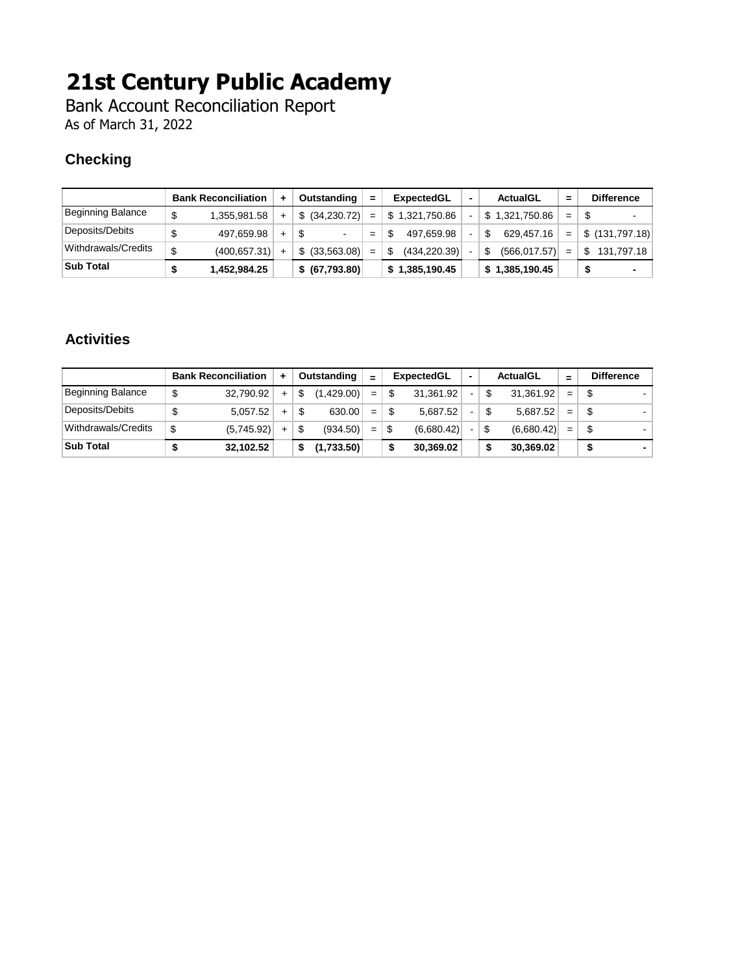Bank Account Reconciliation Report As of March 31, 2022

#### **Checking**

|                     |         | <b>Bank Reconciliation</b> | ÷.  | Outstanding                    | $=$ | <b>ExpectedGL</b> | <b>ActualGL</b>    | =   | <b>Difference</b> |
|---------------------|---------|----------------------------|-----|--------------------------------|-----|-------------------|--------------------|-----|-------------------|
| Beginning Balance   | \$      | 1,355,981.58               | ÷   | \$ (34,230.72)                 | $=$ | \$1.321.750.86    | \$1,321,750.86     | $=$ | \$<br>$\sim$      |
| Deposits/Debits     |         | 497.659.98                 | $+$ | \$<br>$\overline{\phantom{0}}$ | $=$ | 497.659.98        | 629,457.16         | $=$ | \$(131,797.18)    |
| Withdrawals/Credits | ¢<br>۰U | (400, 657.31)              | $+$ | \$ (33, 563.08)                | $=$ | (434, 220.39)     | (566, 017.57)<br>S | $=$ | \$.<br>131.797.18 |
| <b>Sub Total</b>    |         | 1,452,984.25               |     | \$ (67,793.80)                 |     | \$1,385,190.45    | \$1,385,190.45     |     |                   |

#### **Activities**

|                     | <b>Bank Reconciliation</b> | ٠   |    | Outstanding | $=$ | ExpectedGL |    | <b>ActualGL</b>  | $=$ | <b>Difference</b> |
|---------------------|----------------------------|-----|----|-------------|-----|------------|----|------------------|-----|-------------------|
| Beginning Balance   | \$<br>32,790.92            | $+$ | S  | (1.429.00)  | $=$ | 31.361.92  | ۰. | \$<br>31,361.92  | $=$ |                   |
| Deposits/Debits     | \$<br>5.057.52             | $+$ | \$ | 630.00      | $=$ | 5.687.52   | ۰. | \$<br>5.687.52   | $=$ |                   |
| Withdrawals/Credits | \$<br>(5,745.92)           | $+$ | \$ | (934.50)    | $=$ | (6,680.42) | -  | \$<br>(6,680.42) | $=$ |                   |
| Sub Total           | 32,102.52                  |     |    | (1,733.50)  |     | 30.369.02  |    | \$<br>30,369.02  |     |                   |